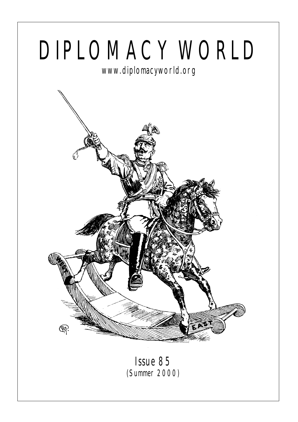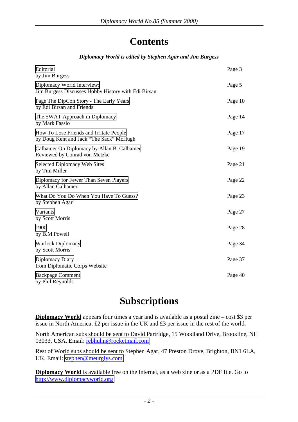## **Contents**

#### *Diplomacy World is edited by Stephen Agar and Jim Burgess*

| Editorial<br>by Jim Burgess                                                        | Page 3  |
|------------------------------------------------------------------------------------|---------|
| Diplomacy World Interview:<br>Jim Burgess Discusses Hobby History with Edi Birsan  | Page 5  |
| Page The DipCon Story - The Early Years<br>by Edi Birsan and Friends               | Page 10 |
| The SWAT Approach in Diplomacy<br>by Mark Fassio                                   | Page 14 |
| How To Lose Friends and Irritate People<br>by Doug Kent and Jack "The Sack" McHugh | Page 17 |
| Calhamer On Diplomacy by Allan B. Calhamer<br>Reviewed by Conrad von Metzke        | Page 19 |
| Selected Diplomacy Web Sites<br>by Tim Miller                                      | Page 21 |
| Diplomacy for Fewer Than Seven Players<br>by Allan Calhamer                        | Page 22 |
| What Do You Do When You Have To Guess?<br>by Stephen Agar                          | Page 23 |
| Variants<br>by Scott Morris                                                        | Page 27 |
| 1900<br>by B.M Powell                                                              | Page 28 |
| <b>Warlock Diplomacy</b><br>by Scott Morris                                        | Page 34 |
| Diplomacy Diary<br>from Diplomatic Corps Website                                   | Page 37 |
| <b>Backpage Comment</b><br>by Phil Reynolds                                        | Page 40 |

## **Subscriptions**

**Diplomacy World** appears four times a year and is available as a postal zine – cost \$3 per issue in North America, £2 per issue in the UK and £3 per issue in the rest of the world.

North American subs should be sent to David Partridge, 15 Woodland Drive, Brookline, NH 03033, USA. Email: [rebhuhn@rocketmail.com](mailto:rebhuhn@rocketmail.com)

Rest of World subs should be sent to Stephen Agar, 47 Preston Drove, Brighton, BN1 6LA, UK. Email: [stephen@meurglys.com](mailto:stephen@meurglys.com)

**Diplomacy World** is available free on the Internet, as a web zine or as a PDF file. Go to [http://www.diplomacyworld.org](http://www.diplomacyworld.org/)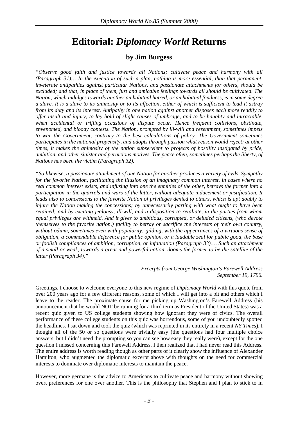## **Editorial:** *Diplomacy World* **Returns**

#### **by Jim Burgess**

<span id="page-2-0"></span>*"Observe good faith and justice towards all Nations; cultivate peace and harmony with all (Paragraph 31)… In the execution of such a plan, nothing is more essential, than that permanent, inveterate antipathies against particular Nations, and passionate attachments for others, should be excluded; and that, in place of them, just and amicable feelings towards all should be cultivated. The Nation, which indulges towards another an habitual hatred, or an habitual fondness, is in some degree a slave. It is a slave to its animosity or to its affection, either of which is sufficient to lead it astray from its duty and its interest. Antipathy in one nation against another disposes each more readily to offer insult and injury, to lay hold of slight causes of umbrage, and to be haughty and intractable, when accidental or trifling occasions of dispute occur. Hence frequent collisions, obstinate, envenomed, and bloody contests. The Nation, prompted by ill-will and resentment, sometimes impels to war the Government, contrary to the best calculations of policy. The Government sometimes participates in the national propensity, and adopts through passion what reason would reject; at other times, it makes the animosity of the nation subservient to projects of hostility instigated by pride, ambition, and other sinister and pernicious motives. The peace often, sometimes perhaps the liberty, of Nations has been the victim (Paragraph 32).* 

*"So likewise, a passionate attachment of one Nation for another produces a variety of evils. Sympathy for the favorite Nation, facilitating the illusion of an imaginary common interest, in cases where no real common interest exists, and infusing into one the enmities of the other, betrays the former into a participation in the quarrels and wars of the latter, without adequate inducement or justification. It leads also to concessions to the favorite Nation of privileges denied to others, which is apt doubly to injure the Nation making the concessions; by unnecessarily parting with what ought to have been retained; and by exciting jealousy, ill-will, and a disposition to retaliate, in the parties from whom equal privileges are withheld. And it gives to ambitious, corrupted, or deluded citizens, (who devote themselves to the favorite nation,) facility to betray or sacrifice the interests of their own country, without odium, sometimes even with popularity; gilding, with the appearances of a virtuous sense of obligation, a commendable deference for public opinion, or a laudable zeal for public good, the base or foolish compliances of ambition, corruption, or infatuation (Paragraph 33)…. Such an attachment of a small or weak, towards a great and powerful nation, dooms the former to be the satellite of the latter (Paragraph 34)."* 

#### *Excerpts from George Washington's Farewell Address September 19, 1796.*

Greetings. I choose to welcome everyone to this new regime of *Diplomacy World* with this quote from over 200 years ago for a few different reasons, some of which I will get into a bit and others which I leave to the reader. The proximate cause for me picking up Washington's Farewell Address (his announcement that he would NOT be running for a third term as President of the United States) was a recent quiz given to US college students showing how ignorant they were of civics. The overall performance of these college students on this quiz was horrendous, some of you undoubtedly spotted the headlines. I sat down and took the quiz (which was reprinted in its entirety in a recent *NY Times*). I thought all of the 50 or so questions were trivially easy (the questions had four multiple choice answers, but I didn't need the prompting so you can see how easy they really were), except for the one question I missed concerning this Farewell Address. I then realized that I had never read this Address. The entire address is worth reading though as other parts of it clearly show the influence of Alexander Hamilton, who augmented the diplomatic excerpt above with thoughts on the need for commercial interests to dominate over diplomatic interests to maintain the peace.

However, more germane is the advice to Americans to cultivate peace and harmony without showing overt preferences for one over another. This is the philosophy that Stephen and I plan to stick to in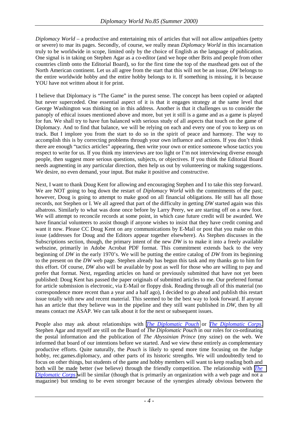*Diplomacy World* – a productive and entertaining mix of articles that will not allow antipathies (petty or severe) to mar its pages. Secondly, of course, we really mean *Diplomacy World* in this incarnation truly to be worldwide in scope, limited only by the choice of English as the language of publication. One signal is in taking on Stephen Agar as a co-editor (and we hope other Brits and people from other countries climb onto the Editorial Board), so for the first time the top of the masthead gets out of the North American continent. Let us all agree from the start that this will not be an issue, *DW* belongs to the entire worldwide hobby and the entire hobby belongs to it. If something is missing, it is because YOU have not written about it for print.

I believe that Diplomacy is "The Game" in the purest sense. The concept has been copied or adapted but never superceded. One essential aspect of it is that it engages strategy at the same level that George Washington was thinking on in this address. Another is that it challenges us to consider the panoply of ethical issues mentioned above and more, but yet it still is a game and as a game is played for fun. We shall try to have fun balanced with serious study of all aspects that touch on the game of Diplomacy. And to find that balance, we will be relying on each and every one of you to keep us on track. But I implore you from the start to do so in the spirit of peace and harmony. The way to accomplish this is by correcting problems through your own influence and actions. If you don't think there are enough "tactics articles" appearing, then write your own or entice someone whose tactics you respect to write for us. If you think my interviews are too light or I'm not interviewing diverse enough people, then suggest more serious questions, subjects, or objectives. If you think the Editorial Board needs augmenting in any particular direction, then help us out by volunteering or making suggestions. We desire, no even demand, your input. But make it positive and constructive.

Next, I want to thank Doug Kent for allowing and encouraging Stephen and I to take this step forward. We are NOT going to bog down the restart of *Diplomacy World* with the commitments of the past; however, Doug is going to attempt to make good on all financial obligations. He still has all those records, not Stephen or I. We all agreed that part of the difficulty in getting *DW* started again was this albatross. Similarly to what was done once before by Larry Peery, we are starting off on a new foot. We will attempt to reconcile records at some point, in which case future credit will be awarded. We have financial volunteers to assist though if anyone wishes to insist that they have credit coming and want it now. Please CC Doug Kent on any communications by E-Mail or post that you make on this issue (addresses for Doug and the Editors appear together elsewhere). As Stephen discusses in the Subscriptions section, though, the primary intent of the new *DW* is to make it into a freely available webszine, primarily in Adobe Acrobat PDF format. This commitment extends back to the very beginning of *DW* in the early 1970's. We will be putting the entire catalog of *DW* from its beginning to the present on the *DW* web page. Stephen already has begun this task and my thanks go to him for this effort. Of course, *DW* also will be available by post as well for those who are willing to pay and prefer that format. Next, regarding articles on hand or previously submitted that have not yet been published: Doug Kent has passed the paper originals of submitted articles to me. Our preferred format for article submission is electronic, via E-Mail or floppy disk. Reading through all of this material (no correspondence more recent than a year and a half ago), I decided to go ahead and publish this restart issue totally with new and recent material. This seemed to be the best way to look forward. If anyone has an article that they believe was in the pipeline and they still want published in *DW*, then by all means contact me ASAP. We can talk about it for the next or subsequent issues.

People also may ask about relationships with *[The Diplomatic Pouch](http://www.diplom.org/)* or *[The Diplomatic Corps](http://www.diplomaticcorps.org/)*. Stephen Agar and myself are still on the Board of *The Diplomatic Pouch* in our roles for co-ordinating the postal information and the publication of *The Abyssinian Prince* (my szine) on the web. We informed that board of our intentions before we started. And we view these entirely as complementary productive efforts. Quite naturally, the *Pouch* is likely to spend more time focusing on the Judge hobby, rec.games.diplomacy, and other parts of its historic strengths. We will undoubtedly tend to focus on other things, but students of the game and hobby members will want to keep reading both and both will be made better (we believe) through the friendly competition. The relationship with *[The](http://www.diplomaticcorps.org/)  [Diplomatic Corps](http://www.diplomaticcorps.org/)* will be similar (though that is primarily an organization with a web page and not a magazine) but tending to be even stronger because of the synergies already obvious between the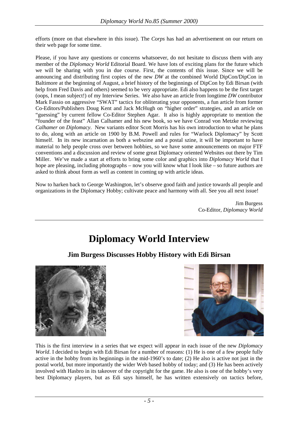<span id="page-4-0"></span>efforts (more on that elsewhere in this issue). The *Corps* has had an advertisement on our return on their web page for some time.

Please, if you have any questions or concerns whatsoever, do not hesitate to discuss them with any member of the *Diplomacy World* Editorial Board. We have lots of exciting plans for the future which we will be sharing with you in due course. First, the contents of this issue. Since we will be announcing and distributing first copies of the new *DW* at the combined World DipCon/DipCon in Baltimore at the beginning of August, a brief history of the beginnings of DipCon by Edi Birsan (with help from Fred Davis and others) seemed to be very appropriate. Edi also happens to be the first target (oops, I mean subject!) of my Interview Series. We also have an article from longtime *DW* contributor Mark Fassio on aggressive "SWAT" tactics for obliterating your opponents, a fun article from former Co-Editors/Publishers Doug Kent and Jack McHugh on "higher order" strategies, and an article on "guessing" by current fellow Co-Editor Stephen Agar. It also is highly appropriate to mention the "founder of the feast" Allan Calhamer and his new book, so we have Conrad von Metzke reviewing *Calhamer on Diplomacy*. New variants editor Scott Morris has his own introduction to what he plans to do, along with an article on 1900 by B.M. Powell and rules for "Warlock Diplomacy" by Scott himself. In its new incarnation as both a webszine and a postal szine, it will be important to have material to help people cross over between hobbies, so we have some announcements on major FTF conventions and a discussion and review of some great Diplomacy oriented Websites out there by Tim Miller. We've made a start at efforts to bring some color and graphics into *Diplomacy World* that I hope are pleasing, including photographs – now you will know what I look like – so future authors are asked to think about form as well as content in coming up with article ideas.

Now to harken back to George Washington, let's observe good faith and justice towards all people and organizations in the Diplomacy Hobby; cultivate peace and harmony with all. See you all next issue!

> Jim Burgess Co-Editor, *Diplomacy World*

# **Diplomacy World Interview**

#### **Jim Burgess Discusses Hobby History with Edi Birsan**





This is the first interview in a series that we expect will appear in each issue of the new *Diplomacy World*. I decided to begin with Edi Birsan for a number of reasons: (1) He is one of a few people fully active in the hobby from its beginnings in the mid-1960's to date; (2) He also is active not just in the postal world, but more importantly the wider Web based hobby of today; and (3) He has been actively involved with Hasbro in its takeover of the copyright for the game. He also is one of the hobby's very best Diplomacy players, but as Edi says himself, he has written extensively on tactics before,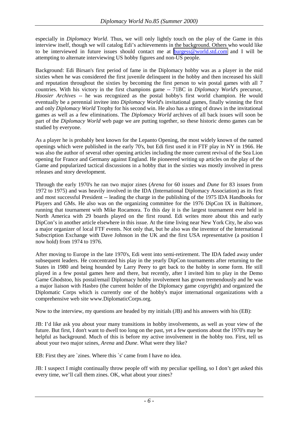especially in *Diplomacy World*. Thus, we will only lightly touch on the play of the Game in this interview itself, though we will catalog Edi's achievements in the background. Others who would like to be interviewed in future issues should contact me at **burgess@world.std.com** and I will be attempting to alternate interviewing US hobby figures and non-US people.

Background: Edi Birsan's first period of fame in the Diplomacy hobby was as a player in the mid sixties when he was considered the first juvenile delinquent in the hobby and then increased his skill and reputation throughout the sixties by becoming the first person to win postal games with all 7 countries. With his victory in the first champions game -- 71BC in *Diplomacy World*'s precursor, *Hoosier Archives* -- he was recognized as the postal hobby's first world champion. He would eventually be a perennial invitee into *Diplomacy World*'s invitational games, finally winning the first and only *Diplomacy World* Trophy for his second win. He also has a string of draws in the invitational games as well as a few eliminations. The *Diplomacy World* archives of all back issues will soon be part of the *Diplomacy World* web page we are putting together, so these historic demo games can be studied by everyone.

As a player he is probably best known for the Lepanto Opening, the most widely known of the named openings which were published in the early 70's, but Edi first used it in FTF play in NY in 1966. He was also the author of several other opening articles including the more current revival of the Sea Lion opening for France and Germany against England. He pioneered writing up articles on the play of the Game and popularized tactical discussions in a hobby that in the sixties was mostly involved in press releases and story development.

Through the early 1970's he ran two major zines (*Arena* for 60 issues and *Dune* for 83 issues from 1972 to 1975) and was heavily involved in the IDA (International Diplomacy Association) as its first and most successful President -- leading the charge in the publishing of the 1975 IDA Handbooks for Players and GMs. He also was on the organizing committee for the 1976 DipCon IX in Baltimore, running that tournament with Mike Rocamora. To this day it is the largest tournament ever held in North America with 29 boards played on the first round. Edi writes more about this and early DipCon's in another article elsewhere in this issue. At the time living near New York City, he also was a major organizer of local FTF events. Not only that, but he also was the inventor of the International Subscription Exchange with Dave Johnson in the UK and the first USA representative (a position I now hold) from 1974 to 1976.

After moving to Europe in the late 1970's, Edi went into semi-retirement. The IDA faded away under subsequent leaders. He concentrated his play in the yearly DipCon tournaments after returning to the States in 1980 and being hounded by Larry Peery to get back to the hobby in some form. He still played in a few postal games here and there, but recently, after I invited him to play in the Demo Game Ghodstoo, his postal/email Diplomacy hobby involvement has grown tremendously and he was a major liaison with Hasbro (the current holder of the Diplomacy game copyright) and organized the Diplomatic Corps which is currently one of the hobby's major international organizations with a comprehensive web site www.DiplomaticCorps.org.

Now to the interview, my questions are headed by my initials (JB) and his answers with his (EB):

JB: I'd like ask you about your many transitions in hobby involvements, as well as your view of the future. But first, I don't want to dwell too long on the past, yet a few questions about the 1970's may be helpful as background. Much of this is before my active involvement in the hobby too. First, tell us about your two major szines, *Arena* and *Dune*. What were they like?

EB: First they are `zines. Where this `s' came from I have no idea.

JB: I suspect I might continually throw people off with my peculiar spelling, so I don't get asked this every time, we'll call them zines. OK, what about your zines?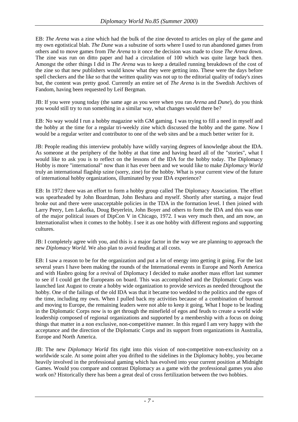EB: *The Arena* was a zine which had the bulk of the zine devoted to articles on play of the game and my own egotistical blah. *The Dune* was a subszine of sorts where I used to run abandoned games from others and to move games from *The Arena* to it once the decision was made to close *The Arena* down. The zine was run on ditto paper and had a circulation of 100 which was quite large back then. Amongst the other things I did in *The Arena* was to keep a detailed running breakdown of the cost of the zine so that new publishers would know what they were getting into. These were the days before spell checkers and the like so that the written quality was not up to the editorial quality of today's zines but, the content was pretty good. Currently an entire set of *The Arena* is in the Swedish Archives of Fandom, having been requested by Leif Bergman.

JB: If you were young today (the same age as you were when you ran *Arena* and *Dune*), do you think you would still try to run something in a similar way, what changes would there be?

EB: No way would I run a hobby magazine with GM gaming. I was trying to fill a need in myself and the hobby at the time for a regular tri-weekly zine which discussed the hobby and the game. Now I would be a regular writer and contributor to one of the web sites and be a much better writer for it.

JB: People reading this interview probably have wildly varying degrees of knowledge about the IDA. As someone at the periphery of the hobby at that time and having heard all of the "stories", what I would like to ask you is to reflect on the lessons of the IDA for the hobby today. The Diplomacy Hobby is more "international" now than it has ever been and we would like to make *Diplomacy World* truly an international flagship szine (sorry, zine) for the hobby. What is your current view of the future of international hobby organizations, illuminated by your IDA experience?

EB: In 1972 there was an effort to form a hobby group called The Diplomacy Association. The effort was spearheaded by John Boardman, John Beshara and myself. Shortly after starting, a major feud broke out and there were unacceptable policies in the TDA in the formation level. I then joined with Larry Peery, Len Lakofka, Doug Beyerlein, John Boyer and others to form the IDA and this was one of the major political issues of DipCon V in Chicago, 1972. I was very much then, and am now, an Internationalist when it comes to the hobby. I see it as one hobby with different regions and supporting cultures.

JB: I completely agree with you, and this is a major factor in the way we are planning to approach the new *Diplomacy World.* We also plan to avoid feuding at all costs.

EB: I saw a reason to be for the organization and put a lot of energy into getting it going. For the last several years I have been making the rounds of the International events in Europe and North America and with Hasbro going for a revival of Diplomacy I decided to make another mass effort last summer to see if I could get the Europeans on board. This was accomplished and the Diplomatic Corps was launched last August to create a hobby wide organization to provide services as needed throughout the hobby. One of the failings of the old IDA was that it became too wedded to the politics and the egos of the time, including my own. When I pulled back my activities because of a combination of burnout and moving to Europe, the remaining leaders were not able to keep it going. What I hope to be leading in the Diplomatic Corps now is to get through the minefield of egos and feuds to create a world wide leadership composed of regional organizations and supported by a membership with a focus on doing things that matter in a non exclusive, non-competitive manner. In this regard I am very happy with the acceptance and the direction of the Diplomatic Corps and its support from organizations in Australia, Europe and North America.

JB: The new *Diplomacy World* fits right into this vision of non-competitive non-exclusivity on a worldwide scale. At some point after you drifted to the sidelines in the Diplomacy hobby, you became heavily involved in the professional gaming which has evolved into your current position at Midnight Games. Would you compare and contrast Diplomacy as a game with the professional games you also work on? Historically there has been a great deal of cross fertilization between the two hobbies.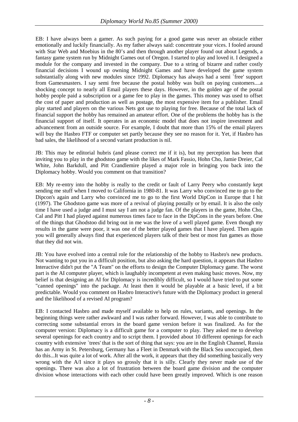EB: I have always been a gamer. As such paying for a good game was never an obstacle either emotionally and luckily financially. As my father always said: concentrate your vices. I fooled around with Star Web and Moebius in the 80's and then through another player found out about Legends, a fantasy game system run by Midnight Games out of Oregon. I started to play and loved it. I designed a module for the company and invested in the company. Due to a string of bizarre and rather costly financial decisions I wound up owning Midnight Games and have developed the game system substantially along with new modules since 1992. Diplomacy has always had a semi `free' support from Gamesmasters. I say semi free because the postal hobby was built on paying customers....a shocking concept to nearly all Email players these days. However, in the golden age of the postal hobby people paid a subscription or a game fee to play in the games. This money was used to offset the cost of paper and production as well as postage, the most expensive item for a publisher. Email play started and players on the various Nets got use to playing for free. Because of the total lack of financial support the hobby has remained an amateur effort. One of the problems the hobby has is the financial support of itself. It operates in an economic model that does not inspire investment and advancement from an outside source. For example, I doubt that more than 15% of the email players will buy the Hasbro FTF or computer set partly because they see no reason for it. Yet, if Hasbro has bad sales, the likelihood of a second variant production is nil.

JB: This may be editorial hubris (and please correct me if it is), but my perception has been that inviting you to play in the ghodstoo game with the likes of Mark Fassio, Hohn Cho, Jamie Dreier, Cal White, John Barkdull, and Pitt Crandlemire played a major role in bringing you back into the Diplomacy hobby. Would you comment on that transition?

EB: My re-entry into the hobby is really to the credit or fault of Larry Peery who constantly kept sending me stuff when I moved to California in 1980-81. It was Larry who convinced me to go to the Dipcon's again and Larry who convinced me to go to the first World DipCon in Europe that I hit (1997). The Ghodstoo game was more of a revival of playing postally or by email. It is also the only time I have used a judge and I must say I am not a judge fan. Of the players in the game, Hohn Cho, Cal and Pitt I had played against numerous times face to face in the DipCons in the years before. One of the things that Ghodstoo did bring out in me was the love of a well played game. Even though my results in the game were poor, it was one of the better played games that I have played. Then again you will generally always find that experienced players talk of their best or most fun games as those that they did not win.

JB: You have evolved into a central role for the relationship of the hobby to Hasbro's new products. Not wanting to put you in a difficult position, but also asking the hard question, it appears that Hasbro Interactive didn't put the "A Team" on the efforts to design the Computer Diplomacy game. The worst part is the AI computer player, which is laughably incompetent at even making basic moves. Now, my belief is that designing an AI for Diplomacy is incredibly difficult, so I would have tried to put some "canned openings" into the package. At least then it would be playable at a basic level, if a bit predictable. Would you comment on Hasbro Interactive's future with the Diplomacy product in general and the likelihood of a revised AI program?

EB: I contacted Hasbro and made myself available to help on rules, variants, and openings. In the beginning things were rather awkward and I was rather forward. However, I was able to contribute to correcting some substantial errors in the board game version before it was finalized. As for the computer version: Diplomacy is a difficult game for a computer to play. They asked me to develop several openings for each country and to script them. I provided about 10 different openings for each country with extensive `trees' that is the sort of thing that says: you are in the English Channel, Russia has an Army in St. Petersburg, Germany has a Fleet in Denmark with the Black Sea unoccupied, then do this...It was quite a lot of work. After all the work, it appears that they did something basically very wrong with the A/I since it plays so grossly that it is silly. Clearly they never made use of the openings. There was also a lot of frustration between the board game division and the computer division whose interactions with each other could have been greatly improved. Which is one reason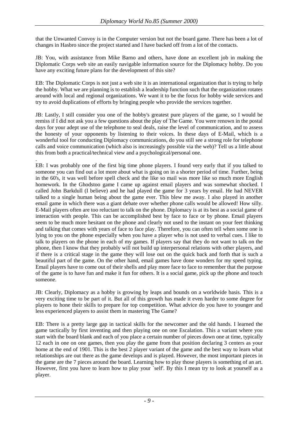that the Unwanted Convoy is in the Computer version but not the board game. There has been a lot of changes in Hasbro since the project started and I have backed off from a lot of the contacts.

JB: You, with assistance from Mike Barno and others, have done an excellent job in making the Diplomatic Corps web site an easily navigable information source for the Diplomacy hobby. Do you have any exciting future plans for the development of this site?

EB: The Diplomatic Corps is not just a web site it is an international organization that is trying to help the hobby. What we are planning is to establish a leadership function such that the organization rotates around with local and regional organizations. We want it to be the focus for hobby wide services and try to avoid duplications of efforts by bringing people who provide the services together.

JB: Lastly, I still consider you one of the hobby's greatest pure players of the game, so I would be remiss if I did not ask you a few questions about the play of The Game. You were renown in the postal days for your adept use of the telephone to seal deals, raise the level of communication, and to assess the honesty of your opponents by listening to their voices. In these days of E-Mail, which is a wonderful tool for conducting Diplomacy communications, do you still see a strong role for telephone calls and voice communication (which also is increasingly possible via the web)? Tell us a little about this from both a practical/technical view and a psychological/personal one.

. EB: I was probably one of the first big time phone players. I found very early that if you talked to someone you can find out a lot more about what is going on in a shorter period of time. Further, being in the 60's, it was well before spell check and the like so mail was more like so much more English homework. In the Ghodstoo game I came up against email players and was somewhat shocked. I called John Barkdull (I believe) and he had played the game for 3 years by email. He had NEVER talked to a single human being about the game ever. This blew me away. I also played in another email game in which there was a giant debate over whether phone calls would be allowed! How silly. E-Mail players often are too reluctant to talk on the phone. Diplomacy is at its best as a social game of interaction with people. This can be accomplished best by face to face or by phone. Email players seem to be much more hesitant on the phone and clearly not used to the instant on your feet thinking and talking that comes with years of face to face play. Therefore, you can often tell when some one is lying to you on the phone especially when you have a player who is not used to verbal cues. I like to talk to players on the phone in each of my games. If players say that they do not want to talk on the phone, then I know that they probably will not build up interpersonal relations with other players, and if there is a critical stage in the game they will lose out on the quick back and forth that is such a beautiful part of the game. On the other hand, email games have done wonders for my speed typing. Email players have to come out of their shells and play more face to face to remember that the purpose of the game is to have fun and make it fun for others. It is a social game, pick up the phone and touch someone.

JB: Clearly, Diplomacy as a hobby is growing by leaps and bounds on a worldwide basis. This is a very exciting time to be part of it. But all of this growth has made it even harder to some degree for players to hone their skills to prepare for top competition. What advice do you have to younger and less experienced players to assist them in mastering The Game?

EB: There is a pretty large gap in tactical skills for the newcomer and the old hands. I learned the game tactically by first inventing and then playing one on one Escalation. This a variant where you start with the board blank and each of you place a certain number of pieces down one at time, typically 12 each in one on one games, then you play the game from that position declaring 3 centers as your home at the end of 1901. This is the best 2 player variant of the game and the best way to learn what relationships are out there as the game develops and is played. However, the most important pieces in the game are the 7 pieces around the board. Learning how to play those players is something of an art. However, first you have to learn how to play your self. By this I mean try to look at yourself as a player.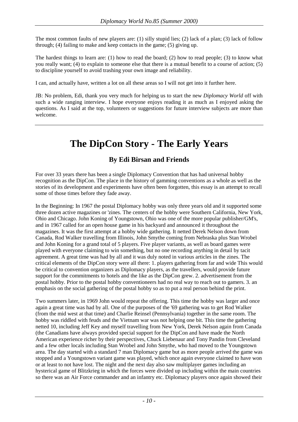The most common faults of new players are: (1) silly stupid lies; (2) lack of a plan; (3) lack of follow through; (4) failing to make and keep contacts in the game; (5) giving up.

The hardest things to learn are: (1) how to read the board; (2) how to read people; (3) to know what you really want; (4) to explain to someone else that there is a mutual benefit to a course of action; (5) to discipline yourself to avoid trashing your own image and reliability.

I can, and actually have, written a lot on all these areas so I will not get into it further here.

JB: No problem, Edi, thank you very much for helping us to start the new *Diplomacy World* off with such a wide ranging interview. I hope everyone enjoys reading it as much as I enjoyed asking the questions. As I said at the top, volunteers or suggestions for future interview subjects are more than welcome.

# **The DipCon Story - The Early Years**

#### **By Edi Birsan and Friends**

For over 33 years there has been a single Diplomacy Convention that has had universal hobby recognition as the DipCon. The place in the history of gamming conventions as a whole as well as the stories of its development and experiments have often been forgotten, this essay is an attempt to recall some of those times before they fade away.

In the Beginning: In 1967 the postal Diplomacy hobby was only three years old and it supported some three dozen active magazines or 'zines. The centers of the hobby were Southern California, New York, Ohio and Chicago. John Koning of Youngstown, Ohio was one of the more popular publisher/GM's, and in 1967 called for an open house game in his backyard and announced it throughout the magazines. It was the first attempt at a hobby wide gathering. It netted Derek Nelson down from Canada, Rod Walker travelling from Illinois, John Smythe coming from Nebraska plus Stan Wrobel and John Koning for a grand total of 5 players. Five player variants, as well as board games were played with everyone claiming to win something, but no one recording anything in detail by tacit agreement. A great time was had by all and it was duly noted in various articles in the zines. The critical elements of the DipCon story were all there: 1. players gathering from far and wide This would be critical to convention organizers as Diplomacy players, as the travellers, would provide future support for the commitments to hotels and the like as the DipCon grew. 2. advertisement from the postal hobby. Prior to the postal hobby conventioneers had no real way to reach out to gamers. 3. an emphasis on the social gathering of the postal hobby so as to put a real person behind the print.

Two summers later, in 1969 John would repeat the offering. This time the hobby was larger and once again a great time was had by all. One of the purposes of the '69 gathering was to get Rod Walker (from the mid west at that time) and Charlie Reinsel (Pennsylvania) together in the same room. The hobby was riddled with feuds and the Vietnam war was not helping one bit. This time the gathering netted 10, including Jeff Key and myself travelling from New York, Derek Nelson again from Canada (the Canadians have always provided special support for the DipCon and have made the North American experience richer by their perspectives, Chuck Liebenaur and Tony Pandin from Cleveland and a few other locals including Stan Wrobel and John Smythe, who had moved to the Youngstown area. The day started with a standard 7 man Diplomacy game but as more people arrived the game was stopped and a Youngstown variant game was played, which once again everyone claimed to have won or at least to not have lost. The night and the next day also saw multiplayer games including an hysterical game of Blitzkrieg in which the forces were divided up including within the main countries so there was an Air Force commander and an infantry etc. Diplomacy players once again showed their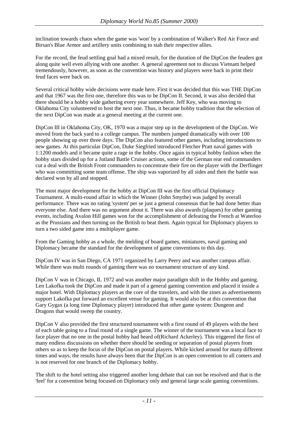inclination towards chaos when the game was 'won' by a combination of Walker's Red Air Force and Birsan's Blue Armor and artillery units combining to stab their respective allies.

For the record, the feud settling goal had a mixed result, for the duration of the DipCon the feuders got along quite well even allying with one another. A general agreement not to discuss Vietnam helped tremendously, however, as soon as the convention was history and players were back in print their feud faces were back on.

Several critical hobby wide decisions were made here. First it was decided that this was THE DipCon and that 1967 was the first one, therefore this was to be DipCon II. Second, it was also decided that there should be a hobby wide gathering every year somewhere. Jeff Key, who was moving to Oklahoma City volunteered to host the next one. Thus, it became hobby tradition that the selection of the next DipCon was made at a general meeting at the current one.

DipCon III in Oklahoma City, OK, 1970 was a major step up in the development of the DipCon. We moved from the back yard to a college campus. The numbers jumped dramatically with over 100 people showing up over three days. The DipCon also featured other games, including introductions to new games. At this particular DipCon, Duke Siegfried introduced Fletcher Pratt naval games with 1:1200 models and it became quite a rage in the hobby. Once again in typical hobby fashion when the hobby stars divided up for a Jutland Battle Cruiser actions, some of the German rear end commanders cut a deal with the British Front commanders to concentrate their fire on the player with the Derflinger who was committing some team offense. The ship was vaporized by all sides and then the battle was declared won by all and stopped.

The most major development for the hobby at DipCon III was the first official Diplomacy Tournament. A multi-round affair in which the Winner (John Smythe) was judged by overall performance. There was no rating 'system' per se just a general consensus that he had done better than everyone else. And there was no argument about it. There was also awards (plaques) for other gaming events, including Avalon Hill games won for the accomplishment of defeating the French at Waterloo as the Prussians and then turning on the British to beat them. Again typical for Diplomacy players to turn a two sided game into a multiplayer game.

From the Gaming hobby as a whole, the melding of board games, miniatures, naval gaming and Diplomacy became the standard for the development of game conventions to this day.

DipCon IV was in San Diego, CA 1971 organized by Larry Peery and was another campus affair. While there was multi rounds of gaming there was no tournament structure of any kind.

DipCon V was in Chicago, IL 1972 and was another major paradigm shift in the Hobby and gaming. Len Lakofka took the DipCon and made it part of a general gaming convention and placed it inside a major hotel. With Diplomacy players as the core of the travelers, and with the zines as advertisements support Lakofka put forward an excellent venue for gaming. It would also be at this convention that Gary Gygax (a long time Diplomacy player) introduced that other game system: Dungeon and Dragons that would sweep the country.

DipCon V also provided the first structured tournament with a first round of 49 players with the best of each table going to a final round of a single game. The winner of the tournament was a local face to face player that no one in the postal hobby had heard of(Richard Ackerley). This triggered the first of many endless discussions on whether there should be seeding or separation of postal players from others so as to keep the focus of the DipCon on postal players. While kicked around for many different times and ways, the results have always been that the DipCon is an open convention to all comers and is not reserved for one branch of the Diplomacy hobby.

The shift to the hotel setting also triggered another long debate that can not be resolved and that is the 'feel' for a convention being focused on Diplomacy only and general large scale gaming conventions.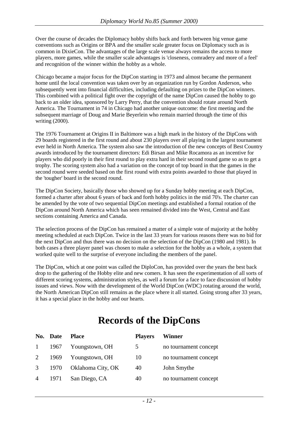Over the course of decades the Diplomacy hobby shifts back and forth between big venue game conventions such as Origins or BPA and the smaller scale greater focus on Diplomacy such as is common in DixieCon. The advantages of the large scale venue always remains the access to more players, more games, while the smaller scale advantages is 'closeness, comradery and more of a feel' and recognition of the winner within the hobby as a whole.

Chicago became a major focus for the DipCon starting in 1973 and almost became the permanent home until the local convention was taken over by an organization run by Gordon Anderson, who subsequently went into financial difficulties, including defaulting on prizes to the DipCon winners. This combined with a political fight over the copyright of the name DipCon caused the hobby to go back to an older idea, sponsored by Larry Perry, that the convention should rotate around North America. The Tournament in 74 in Chicago had another unique outcome: the first meeting and the subsequent marriage of Doug and Marie Beyerlein who remain married through the time of this writing (2000).

The 1976 Tournament at Origins II in Baltimore was a high mark in the history of the DipCons with 29 boards registered in the first round and about 230 players over all playing in the largest tournament ever held in North America. The system also saw the introduction of the new concepts of Best Country awards introduced by the tournament directors: Edi Birsan and Mike Rocamora as an incentive for players who did poorly in their first round to play extra hard in their second round game so as to get a trophy. The scoring system also had a variation on the concept of top board in that the games in the second round were seeded based on the first round with extra points awarded to those that played in the 'tougher' board in the second round.

The DipCon Society, basically those who showed up for a Sunday hobby meeting at each DipCon, formed a charter after about 6 years of back and forth hobby politics in the mid 70's. The charter can be amended by the vote of two sequential DipCon meetings and established a formal rotation of the DipCon around North America which has seen remained divided into the West, Central and East sections containing America and Canada.

The selection process of the DipCon has remained a matter of a simple vote of majority at the hobby meeting scheduled at each DipCon. Twice in the last 33 years for various reasons there was no bid for the next DipCon and thus there was no decision on the selection of the DipCon (1980 and 1981). In both cases a three player panel was chosen to make a selection for the hobby as a whole, a system that worked quite well to the surprise of everyone including the members of the panel.

The DipCon, which at one point was called the DiploCon, has provided over the years the best back drop to the gathering of the Hobby elite and new comers. It has seen the experimentation of all sorts of different scoring systems, administration styles, as well a forum for a face to face discussion of hobby issues and views. Now with the development of the World DipCon (WDC) rotating around the world, the North American DipCon still remains as the place where it all started. Going strong after 33 years, it has a special place in the hobby and our hearts.

# **Records of the DipCons**

|                | No. Date | <b>Place</b>      | <b>Players</b> | Winner                |
|----------------|----------|-------------------|----------------|-----------------------|
|                | 1 1967   | Youngstown, OH    | 5              | no tournament concept |
|                | 2 1969   | Youngstown, OH    | 10             | no tournament concept |
| 3 <sup>7</sup> | 1970     | Oklahoma City, OK | 40             | John Smythe           |
| $\overline{4}$ | 1971     | San Diego, CA     | 40             | no tournament concept |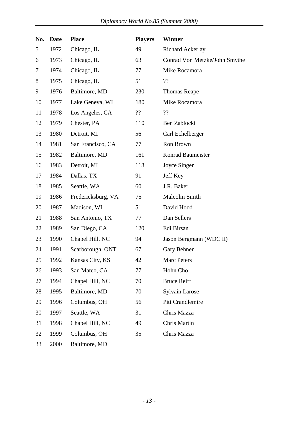| No. | <b>Date</b> | <b>Place</b>       | <b>Players</b> | <b>Winner</b>                 |
|-----|-------------|--------------------|----------------|-------------------------------|
| 5   | 1972        | Chicago, IL        | 49             | <b>Richard Ackerlay</b>       |
| 6   | 1973        | Chicago, IL        | 63             | Conrad Von Metzke/John Smythe |
| 7   | 1974        | Chicago, IL        | 77             | Mike Rocamora                 |
| 8   | 1975        | Chicago, IL        | 51             | ??                            |
| 9   | 1976        | Baltimore, MD      | 230            | <b>Thomas Reape</b>           |
| 10  | 1977        | Lake Geneva, WI    | 180            | Mike Rocamora                 |
| 11  | 1978        | Los Angeles, CA    | ??             | ??                            |
| 12  | 1979        | Chester, PA        | 110            | Ben Zablocki                  |
| 13  | 1980        | Detroit, MI        | 56             | Carl Echelberger              |
| 14  | 1981        | San Francisco, CA  | 77             | Ron Brown                     |
| 15  | 1982        | Baltimore, MD      | 161            | Konrad Baumeister             |
| 16  | 1983        | Detroit, MI        | 118            | Joyce Singer                  |
| 17  | 1984        | Dallas, TX         | 91             | Jeff Key                      |
| 18  | 1985        | Seattle, WA        | 60             | J.R. Baker                    |
| 19  | 1986        | Fredericksburg, VA | 75             | Malcolm Smith                 |
| 20  | 1987        | Madison, WI        | 51             | David Hood                    |
| 21  | 1988        | San Antonio, TX    | 77             | Dan Sellers                   |
| 22  | 1989        | San Diego, CA      | 120            | Edi Birsan                    |
| 23  | 1990        | Chapel Hill, NC    | 94             | Jason Bergmann (WDC II)       |
| 24  | 1991        | Scarborough, ONT   | 67             | Gary Behnen                   |
| 25  | 1992        | Kansas City, KS    | 42             | Marc Peters                   |
| 26  | 1993        | San Mateo, CA      | 77             | Hohn Cho                      |
| 27  | 1994        | Chapel Hill, NC    | 70             | <b>Bruce Reiff</b>            |
| 28  | 1995        | Baltimore, MD      | 70             | <b>Sylvain Larose</b>         |
| 29  | 1996        | Columbus, OH       | 56             | <b>Pitt Crandlemire</b>       |
| 30  | 1997        | Seattle, WA        | 31             | Chris Mazza                   |
| 31  | 1998        | Chapel Hill, NC    | 49             | Chris Martin                  |
| 32  | 1999        | Columbus, OH       | 35             | Chris Mazza                   |
| 33  | 2000        | Baltimore, MD      |                |                               |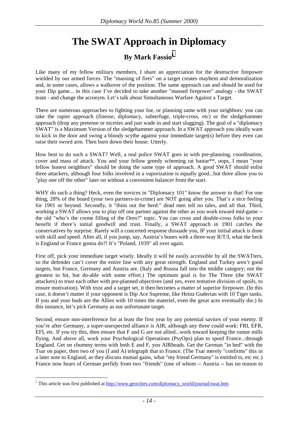## **The SWAT Approach in Diplomacy**

### **By Mark Fassio<sup>1</sup>**

<span id="page-13-0"></span>Like many of my fellow military members, I share an appreciation for the destructive firepower wielded by our armed forces. The "massing of fires" on a target creates mayhem and demoralization and, in some cases, allows a walkover of the position. The same approach can and should be used for your Dip game... in this case I've decided to take another "massed firepower" analogy - the SWAT team - and change the acronym. Let's talk about Simultaneous Warfare Against a Target.

There are numerous approaches to fighting your foe, or planning same with your neighbors: you can take the rapier approach (finesse, diplomacy, subterfuge, triple-cross, etc) or the sledgehammer approach (drop any pretense or niceties and just wade in and start slugging). The goal of a "diplomacy SWAT" is a Maximum Version of the sledgehammer approach. In a SWAT approach you ideally want to kick in the door and swing a bloody scythe against your immediate target(s) before they even can raise their sword arm. Then burn down their house. Utterly.

How best to do such a SWAT? Well, a real police SWAT goes in with pre-planning, coordination, cover and mass of attack. You and your fellow greedy scheming rat bastar\*\*, oops, I mean "your fellow honest neighbors" should be doing the same type of approach. A good SWAT should enlist three attackers, although four folks involved in a vaporization is equally good...but three allow you to "play one off the other" later on without a convenient balancer from the start.

WHY do such a thing? Heck, even the novices in "Diplomacy 101" know the answer to that! For one thing, 28% of the board (your two partners-in-crime) are NOT going after you. That's a nice feeling for 1901 or beyond. Secondly, it "thins out the herd:" dead men tell no tales, and all that. Third, working a SWAT allows you to play off one partner against the other as you work toward mid-game - the old "who's the creme filling of the Oreo?" topic. You can cross and double-cross folks to your benefit if there's initial goodwill and trust. Finally, a SWAT approach in 1901 catches the conservatives by surprise. Rarely will a concerted response dissuade you, IF your initial attack is done with skill and speed. After all, if you jump, say, Austria's bones with a three-way R/T/I, what the heck is England or France gonna do?! It's "Poland, 1939" all over again.

First off, pick your immediate target wisely. Ideally it will be easily accessible by all the SWATters, so the defender can't cover the entire line with any great strength. England and Turkey aren't good targets, but France, Germany and Austria are. (Italy and Russia fall into the middle category; not the greatest to hit, but do-able with some effort.) The optimum goal is for The Three (the SWAT attackers) to trust each other with pre-planned objectives (and yes, even tentative division of spoils, to ensure motivation). With trust and a target set, it then becomes a matter of superior firepower. (In this case, it doesn't matter if your opponent is Dip Ace Supreme, like Heinz Guderian with 10 Tiger tanks. If you and your buds are the Allies with 10 times the materiel, even the great aces eventually die.) In this instance, let's pick Germany as our unfortunate target.

Second, ensure non-interference for at least the first year by any potential saviors of your enemy. If you're after Germany, a super-unexpected alliance is AIR, although any three could work: FRI, EFR, EFI, etc. If you try this, then ensure that F and G are not allied...work toward keeping the rumor mills flying. And above all, work your Psychological Operations (PsyOps) plan to spoof France...through England. Get on chummy terms with both E and F, you AIRheads. Get the German "in bed" with the Tsar on paper, then two of you (I and A) telegraph that to France. (The Tsar merely "confirms" this in a later note to England, as they discuss mutual gains, what "my friend Germany" is entitled to, etc etc.) France now hears of German perfidy from two "friends" (one of whom -- Austria -- has no reason to

 $\overline{a}$ 

<sup>&</sup>lt;sup>1</sup> This article was first published at http://www.geocities.com/diplomacy\_world/journal/swat.htm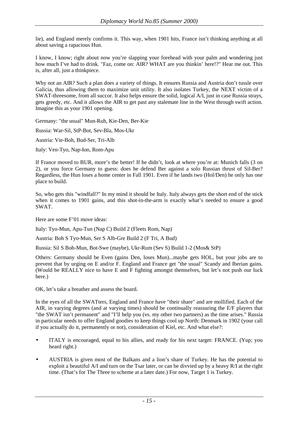lie), and England merely confirms it. This way, when 1901 hits, France isn't thinking anything at all about saving a rapacious Hun.

I know, I know; right about now you're slapping your forehead with your palm and wondering just how much I've had to drink. "Faz, come on: AIR? WHAT are you thinkin' here!?" Hear me out. This is, after all, just a thinkpiece.

Why not an AIR? Such a plan does a variety of things. It ensures Russia and Austria don't tussle over Galicia, thus allowing them to maximize unit utility. It also isolates Turkey, the NEXT victim of a SWAT-threesome, from all succor. It also helps ensure the solid, logical A/I, just in case Russia strays, gets greedy, etc. And it allows the AIR to get past any stalemate line in the West through swift action. Imagine this as your 1901 opening.

Germany: "the usual" Mun-Ruh, Kie-Den, Ber-Kie

Russia: War-Sil, StP-Bot, Sev-Bla, Mos-Ukr

Austria: Vie-Boh, Bud-Ser, Tri-Alb

Italy: Ven-Tyo, Nap-Ion, Rom-Apu

If France moved to BUR, more's the better! If he didn't, look at where you're at: Munich falls (3 on 2), or you force Germany to guess: does he defend Ber against a solo Russian thrust of Sil-Ber? Regardless, the Hun loses a home center in Fall 1901. Even if he lands two (Hol/Den) he only has one place to build.

So, who gets this "windfall?" In my mind it should be Italy. Italy always gets the short end of the stick when it comes to 1901 gains, and this shot-in-the-arm is exactly what's needed to ensure a good SWAT.

Here are some F'01 move ideas:

Italy: Tyo-Mun, Apu-Tun (Nap C) Build 2 (Fleets Rom, Nap)

Austria: Boh S Tyo-Mun, Ser S Alb-Gre Build 2 (F Tri, A Bud)

Russia: Sil S Boh-Mun, Bot-Swe (maybe), Ukr-Rum (Sev S) Build 1-2 (Mos& StP)

Others: Germany should be Even (gains Den, loses Mun)...maybe gets HOL, but your jobs are to prevent that by urging on E and/or F. England and France get "the usual" Scandy and Iberian gains. (Would be REALLY nice to have E and F fighting amongst themselves, but let's not push our luck here.)

OK, let's take a breather and assess the board.

In the eyes of all the SWATters, England and France have "their share" and are mollified. Each of the AIR, in varying degrees (and at varying times) should be continually reassuring the E/F players that "the SWAT isn't permanent" and "I'll help you (vs. my other two partners) as the time arises." Russia in particular needs to offer England goodies to keep things cool up North: Denmark in 1902 (your call if you actually do it, permanently or not), consideration of Kiel, etc. And what else?:

- ITALY is encouraged, equal to his allies, and ready for his next target: FRANCE. (Yup; you heard right.)
- AUSTRIA is given most of the Balkans and a lion's share of Turkey. He has the potential to exploit a beautiful A/I and turn on the Tsar later, or can be divvied up by a heavy R/I at the right time. (That's for The Three to scheme at a later date.) For now, Target 1 is Turkey.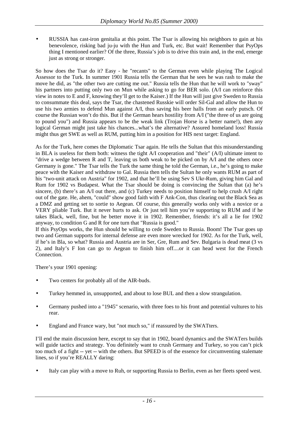• RUSSIA has cast-iron genitalia at this point. The Tsar is allowing his neighbors to gain at his benevolence, risking bad ju-ju with the Hun and Turk, etc. But wait! Remember that PsyOps thing I mentioned earlier? Of the three, Russia's job is to drive this train and, in the end, emerge just as strong or stronger.

So how does the Tsar do it? Easy - he "recants" to the German even while playing The Logical Assessor to the Turk. In summer 1901 Russia tells the German that he sees he was rash to make the move he did, as "the other two are cutting me out." Russia tells the Hun that he will work to "sway" his partners into putting only two on Mun while asking to go for BER solo. (A/I can reinforce this view in notes to E and F, knowing they'll get to the Kaiser.) If the Hun will just give Sweden to Russia to consummate this deal, says the Tsar, the chastened Russkie will order Sil-Gal and allow the Hun to use his two armies to defend Mun against A/I, thus saving his beer halls from an early putsch. Of course the Russian won't do this. But if the German hears hostility from A/I ("the three of us are going to pound you") and Russia appears to be the weak link (Trojan Horse is a better name!), then any logical German might just take his chances...what's the alternative? Assured homeland loss! Russia might thus get SWE as well as RUM, putting him in a position for HIS next target: England.

As for the Turk, here comes the Diplomatic Tsar again. He tells the Sultan that this misunderstanding in BLA is useless for them both: witness the tight A/I cooperation and "their" (A/I) ultimate intent to "drive a wedge between R and T, leaving us both weak to be picked on by A/I and the others once Germany is gone." The Tsar tells the Turk the same thing he told the German, i.e., he's going to make peace with the Kaiser and withdraw to Gal. Russia then tells the Sultan he only wants RUM as part of his "two-unit attack on Austria" for 1902, and that he'll be using Sev S Ukr-Rum, giving him Gal and Rum for 1902 vs Budapest. What the Tsar should be doing is convincing the Sultan that (a) he's sincere, (b) there's an A/I out there, and (c) Turkey needs to position himself to help crush A/I right out of the gate. He, ahem, "could" show good faith with F Ank-Con, thus clearing out the Black Sea as a DMZ and getting set to sortie to Aegean. Of course, this generally works only with a novice or a VERY pliable Turk. But it never hurts to ask. Or just tell him you're supporting to RUM and if he takes Black, well, fine, but he better move it in 1902. Remember, friends: it's all a lie for 1902 anyway, to condition G and R for one turn that "Russia is good."

If this PsyOps works, the Hun should be willing to cede Sweden to Russia. Boom! The Tsar goes up two and German supports for internal defense are even more wrecked for 1902. As for the Turk, well, if he's in Bla, so what? Russia and Austria are in Ser, Gre, Rum and Sev. Bulgaria is dead meat (3 vs 2), and Italy's F Ion can go to Aegean to finish him off....or it can head west for the French Connection.

There's your 1901 opening:

- Two centers for probably all of the AIR-buds.
- Turkey hemmed in, unsupported, and about to lose BUL and then a slow strangulation.
- Germany pushed into a "1945" scenario, with three foes to his front and potential vultures to his rear.
- England and France wary, but "not much so," if reassured by the SWATters.

I'll end the main discussion here, except to say that in 1902, board dynamics and the SWATers builds will guide tactics and strategy. You definitely want to crush Germany and Turkey, so you can't pick too much of a fight -- yet -- with the others. But SPEED is of the essence for circumventing stalemate lines, so if you're REALLY daring:

• Italy can play with a move to Ruh, or supporting Russia to Berlin, even as her fleets speed west.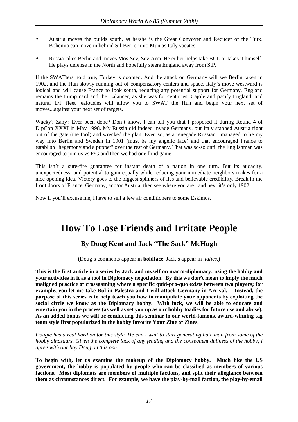- <span id="page-16-0"></span>• Austria moves the builds south, as he/she is the Great Convoyer and Reducer of the Turk. Bohemia can move in behind Sil-Ber, or into Mun as Italy vacates.
- Russia takes Berlin and moves Mos-Sev, Sev-Arm. He either helps take BUL or takes it himself. He plays defense in the North and hopefully steers England away from StP.

If the SWATters hold true, Turkey is doomed. And the attack on Germany will see Berlin taken in 1902, and the Hun slowly running out of compensatory centers and space. Italy's move westward is logical and will cause France to look south, reducing any potential support for Germany. England remains the trump card and the Balancer, as she was for centuries. Cajole and pacify England, and natural E/F fleet jealousies will allow you to SWAT the Hun and begin your next set of moves...against your next set of targets.

Wacky? Zany? Ever been done? Don't know. I can tell you that I proposed it during Round 4 of DipCon XXXI in May 1998. My Russia did indeed invade Germany, but Italy stabbed Austria right out of the gate (the fool) and wrecked the plan. Even so, as a renegade Russian I managed to lie my way into Berlin and Sweden in 1901 (must be my angelic face) and that encouraged France to establish "hegemony and a puppet" over the rest of Germany. That was so-so until the Englishman was encouraged to join us vs F/G and then we had one fluid game.

This isn't a sure-fire guarantee for instant death of a nation in one turn. But its audacity, unexpectedness, and potential to gain equally while reducing your immediate neighbors makes for a nice opening idea. Victory goes to the biggest spinners of lies and believable credibility. Break in the front doors of France, Germany, and/or Austria, then see where you are...and hey! it's only 1902!

Now if you'll excuse me, I have to sell a few air conditioners to some Eskimos.

## **How To Lose Friends and Irritate People**

#### **By Doug Kent and Jack "The Sack" McHugh**

(Doug's comments appear in **boldface**, Jack's appear in *italics*.)

**This is the first article in a series by Jack and myself on macro-diplomacy: using the hobby and your activities in it as a tool in Diplomacy negotiation. By this we don't mean to imply the much maligned practice of crossgaming where a specific quid-pro-quo exists between two players; for example, you let me take Bul in Palestra and I will attack Germany in Arrival. Instead, the purpose of this series is to help teach you how to manipulate your opponents by exploiting the social circle we know as the Diplomacy hobby. With luck, we will be able to educate and entertain you in the process (as well as set you up as our hobby toadies for future use and abuse). As an added bonus we will be conducting this seminar in our world-famous, award-winning tag team style first popularized in the hobby favorite Your Zine of Zines.** 

*Dougie has a real hard on for this style. He can't wait to start generating hate mail from some of the hobby dinosaurs. Given the complete lack of any feuding and the consequent dullness of the hobby, I agree with our boy Doug on this one.* 

**To begin with, let us examine the makeup of the Diplomacy hobby. Much like the US government, the hobby is populated by people who can be classified as members of various factions. Most diplomats are members of multiple factions, and split their allegiance between them as circumstances direct. For example, we have the play-by-mail faction, the play-by-email**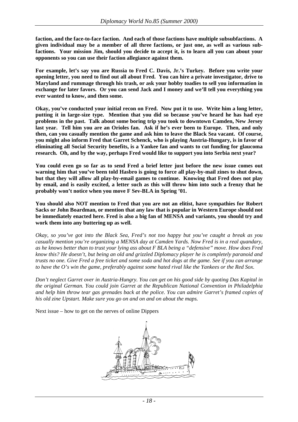**faction, and the face-to-face faction. And each of those factions have multiple subsubfactions. A given individual may be a member of all three factions, or just one, as well as various subfactions. Your mission Jim, should you decide to accept it, is to learn all you can about your opponents so you can use their faction allegiance against them.** 

**For example, let's say you are Russia to Fred C. Davis, Jr.'s Turkey. Before you write your opening letter, you need to find out all about Fred. You can hire a private investigator, drive to Maryland and rummage through his trash, or ask your hobby toadies to sell you information in exchange for later favors. Or you can send Jack and I money and we'll tell you everything you ever wanted to know, and then some.** 

**Okay, you've conducted your initial recon on Fred. Now put it to use. Write him a long letter, putting it in large-size type. Mention that you did so because you've heard he has had eye problems in the past. Talk about some boring trip you took to downtown Camden, New Jersey last year. Tell him you are an Orioles fan. Ask if he's ever been to Europe. Then, and only then, can you casually mention the game and ask him to leave the Black Sea vacant. Of course, you might also inform Fred that Garret Schenck, who is playing Austria-Hungary, is in favor of eliminating all Social Security benefits, is a Yankee fan and wants to cut funding for glaucoma research. Oh, and by the way, perhaps Fred would like to support you into Serbia next year?** 

**You could even go so far as to send Fred a brief letter just before the new issue comes out warning him that you've been told Hasbro is going to force all play-by-mail zines to shut down, but that they will allow all play-by-email games to continue. Knowing that Fred does not play by email, and is easily excited, a letter such as this will throw him into such a frenzy that he probably won't notice when you move F Sev-BLA in Spring '01.** 

**You should also NOT mention to Fred that you are not an elitist, have sympathies for Robert Sacks or John Boardman, or mention that any law that is popular in Western Europe should not be immediately enacted here. Fred is also a big fan of MENSA and variants, you should try and work them into any buttering up as well.** 

*Okay, so you've got into the Black Sea, Fred's not too happy but you've caught a break as you casually mention you're organizing a MENSA day at Camden Yards. Now Fred is in a real quandary, as he knows better than to trust your lying ass about F BLA being a "defensive" move. How does Fred know this? He doesn't, but being an old and grizzled Diplomacy player he is completely paranoid and trusts no one. Give Fred a free ticket and some soda and hot dogs at the game. See if you can arrange to have the O's win the game, preferably against some hated rival like the Yankees or the Red Sox.* 

*Don't neglect Garret over in Austria-Hungry. You can get on his good side by quoting Das Kapital in the original German. You could join Garret at the Republican National Convention in Philadelphia and help him throw tear gas grenades back at the police. You can admire Garret's framed copies of his old zine Upstart. Make sure you go on and on and on about the maps.* 

Next issue – how to get on the nerves of online Dippers

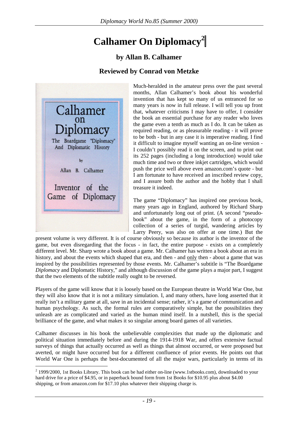# **Calhamer On Diplomacy<sup>2</sup>**

### **by Allan B. Calhamer**

#### **Reviewed by Conrad von Metzke**

<span id="page-18-0"></span>

 $\overline{a}$ 

Much-heralded in the amateur press over the past several months, Allan Calhamer's book about his wonderful invention that has kept so many of us entranced for so many years is now in full release. I will tell you up front that, whatever criticisms I may have to offer, I consider the book an essential purchase for any reader who loves the game even a tenth as much as I do. It can be taken as required reading, or as pleasurable reading - it will prove to be both - but in any case it is imperative reading. I find it difficult to imagine myself wanting an on-line version - I couldn't possibly read it on the screen, and to print out its 252 pages (including a long introduction) would take much time and two or three inkjet cartridges, which would push the price well above even amazon.com's quote - but I am fortunate to have received an inscribed review copy, and I assure both the author and the hobby that I shall treasure it indeed.

The game "Diplomacy" has inspired one previous book, many years ago in England, authored by Richard Sharp and unfortunately long out of print. (A second "pseudobook" about the game, in the form of a photocopy collection of a series of turgid, wandering articles by Larry Peery, was also on offer at one time.) But the

present volume is very different. It is of course obviously so because its author is the inventor of the game, but even disregarding that the focus - in fact, the entire purpose - exists on a completely different level. Mr. Sharp wrote a book about a game. Mr. Calhamer has written a book about an era in history, and about the events which shaped that era, and then - and only then - about a game that was inspired by the possibilities represented by those events. Mr. Calhamer's subtitle is "The Boardgame *Diplomacy* and Diplomatic History," and although discussion of the game plays a major part, I suggest that the two elements of the subtitle really ought to be reversed.

Players of the game will know that it is loosely based on the European theatre in World War One, but they will also know that it is not a military simulation. I, and many others, have long asserted that it really isn't a military game at all, save in an incidental sense; rather, it's a game of communication and human psychology. As such, the formal rules are comparatively simple, but the possibilities they unleash are as complicated and varied as the human mind itself. In a nutshell, this is the special brilliance of the game, and what makes it so singular among board games of all varieties.

Calhamer discusses in his book the unbelievable complexities that made up the diplomatic and political situation immediately before and during the 1914-1918 War, and offers extensive factual surveys of things that actually occurred as well as things that almost occurred, or were proposed but averted, or might have occurred but for a different confluence of prior events. He points out that World War One is perhaps the best-documented of all the major wars, particularly in terms of its

 $2$  1999/2000, 1st Books Library. This book can be had either on-line (www.1stbooks.com), downloaded to your hard drive for a price of \$4.95, or in paperback bound form from 1st Books for \$10.95 plus about \$4.00 shipping, or from amazon.com for \$17.10 plus whatever their shipping charge is.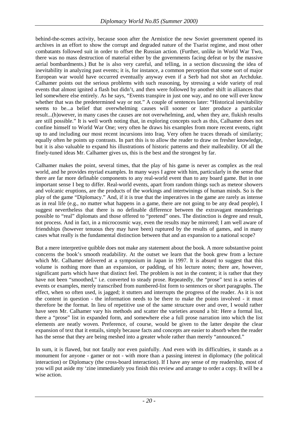behind-the-scenes activity, because soon after the Armistice the new Soviet government opened its archives in an effort to show the corrupt and degraded nature of the Tsarist regime, and most other combatants followed suit in order to offset the Russian action. (Further, unlike in World War Two, there was no mass destruction of material either by the governments facing defeat or by the massive aerial bombardments.) But he is also very careful, and telling, in a section discussing the idea of inevitability in analyzing past events; it is, for instance, a common perception that some sort of major European war would have occurred eventually anyway even if a Serb had not shot an Archduke. Calhamer points out the serious problems with such reasoning, by stressing a wide variety of real events that almost ignited a flash but didn't, and then were followed by another shift in alliances that led somewhere else entirely. As he says, "Events transpire in just one way, and no one will ever know whether that was the predetermined way or not." A couple of sentences later: "Historical inevitability seems to be...a belief that overwhelming causes will sooner or later produce a particular result...(h)owever, in many cases the causes are not overwhelming, and, when they are, flukish results are still possible." It is well worth noting that, in exploring concepts such as this, Calhamer does not confine himself to World War One; very often he draws his examples from more recent events, right up to and including our most recent incursions into Iraq. Very often he traces threads of similarity; equally often he points up contrasts. In part this is to allow the reader to draw on fresher knowledge, but it is also valuable to expand his illustrations of historic patterns and their malleability. Of all the finely-tuned ideas Mr. Calhamer gives us, this is the best and the strongest by far.

Calhamer makes the point, several times, that the play of his game is never as complex as the real world, and he provides myriad examples. In many ways I agree with him, particularly in the sense that there are far more definable components to any real-world event than to any board game. But in one important sense I beg to differ. Real-world events, apart from random things such as meteor showers and volcanic eruptions, are the products of the workings and intertwinings of human minds. So is the play of the game "Diplomacy." And, if it is true that the imperatives in the game are rarely as intense as in real life (e.g., no matter what happens in a game, there are not going to be any dead people), I suggest nevertheless that there is no definable difference between the extravagant meanderings possible to "real" diplomats and those offered to "pretend" ones. The distinction is degree and result, not process. And in fact, in a microcosmic way, even the results may be mirrored; I am well aware of friendships (however tenuous they may have been) ruptured by the results of games, and in many cases what really is the fundamental distinction between that and an expansion to a national scope?

But a mere interpretive quibble does not make any statement about the book. A more substantive point concerns the book's smooth readability. At the outset we learn that the book grew from a lecture which Mr. Calhamer delivered at a symposium in Japan in 1997. It is absurd to suggest that this volume is nothing more than an expansion, or padding, of his lecture notes; there are, however, significant parts which have that distinct feel. The problem is not in the content; it is rather that they have not been "smoothed," i.e. converted to steady prose. Repeatedly, the "prose" text is a series of events or examples, merely transcribed from numbered-list form to sentences or short paragraphs. The effect, when so often used, is jagged; it stutters and interrupts the progress of the reader. As it is not the content in question - the information needs to be there to make the points involved - it must therefore be the format. In lieu of repetitive use of the same structure over and over, I would rather have seen Mr. Calhamer vary his methods and scatter the varieties around a bit: Here a formal list, there a "prose" list in expanded form, and somewhere else a full prose narration into which the list elements are neatly woven. Preference, of course, would be given to the latter despite the clear expansion of text that it entails, simply because facts and concepts are easier to absorb when the reader has the sense that they are being meshed into a greater whole rather than merely "announced."

In sum, it is flawed, but not fatally nor even painfully. And even with its difficulties, it stands as a monument for anyone - gamer or not - with more than a passing interest in diplomacy (the political interaction) or Diplomacy (the cross-board interaction). If I have any sense of my readership, most of you will put aside my 'zine immediately you finish this review and arrange to order a copy. It will be a wise action.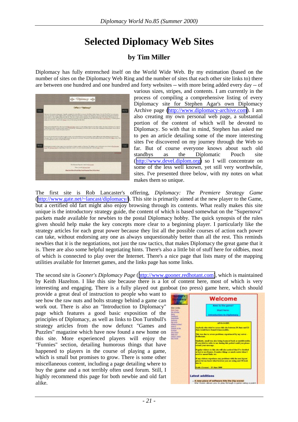# **Selected Diplomacy Web Sites**

### **by Tim Miller**

<span id="page-20-0"></span>Diplomacy has fully entrenched itself on the World Wide Web. By my estimation (based on the number of sites on the Diplomacy Web Ring and the number of sites that each other site links to) there are between one hundred and one hundred and forty websites -- with more being added every day -- of



various sizes, stripes, and contents. I am currently in the process of compiling a comprehensive listing of every Diplomacy site for Stephen Agar's own Diplomacy Archive page [\(http://www.diplomacy-archive.com\)](http://www.diplomacy-archive.com/). I am also creating my own personal web page, a substantial portion of the content of which will be devoted to Diplomacy. So with that in mind, Stephen has asked me to pen an article detailing some of the more interesting sites I've discovered on my journey through the Web so far. But of course everyone knows about such old standbys as the Diplomatic Pouch site ([http://www.devel.diplom.org\)](http://www.devel.diplom.org/) so I will concentrate on some of the less well known, yet still very worthwhile, sites. I've presented three below, with my notes on what makes them so unique.

The first site is Rob Lancaster's offering, *Diplomacy: The Premiere Strategy Game* ([http://www.gate.net/~lancast/diplomacy/\)](http://www.gate.net/~lancast/diplomacy/). This site is primarily aimed at the new player to the Game, but a certified old fart might also enjoy browsing through its contents. What really makes this site unique is the introductory strategy guide, the content of which is based somewhat on the "Supernova" packets made available for newbies to the postal Diplomacy hobby. The quick synopsis of the rules given should help make the key concepts more clear to a beginning player. I particularly like the strategy articles for each great power because they list all the possible courses of action each power can take, without endorsing any one as always unquestionably better than all the rest. This reminds newbies that it is the negotiations, not just the raw tactics, that makes Diplomacy the great game that it is. There are also some helpful negotiating hints. There's also a little bit of stuff here for oldbies, most of which is connected to play over the Internet. There's a nice page that lists many of the mapping utilities available for Internet games, and the links page has some links.

The second site is *Gooner's Diplomacy Page* ([http://www.gooner.redhotant.com\)](http://www.gooner.redhotant.com/), which is maintained by Keith Hazelton. I like this site because there is a lot of content here, most of which is very interesting and engaging. There is a fully played out gunboat (no press) game here, which should

provide a great deal of instruction to people who want to see how the raw nuts and bolts strategy behind a game can work out. There is also an "Introduction to Diplomacy" page which features a good basic exposition of the principles of Diplomacy, as well as links to Don Turnbull's strategy articles from the now defunct "Games and Puzzles" magazine which have now found a new home on this site. More experienced players will enjoy the "Funnies" section, detailing humorous things that have happened to players in the course of playing a game, which is small but promises to grow. There is some other miscellaneous content, including a page detailing where to buy the game and a not terribly often used forum. Still, I highly recommend this page for both newbie and old fart alike.

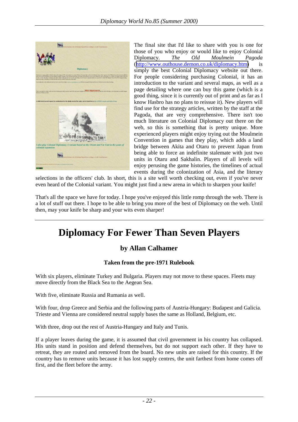<span id="page-21-0"></span>

The final site that I'd like to share with you is one for those of you who enjoy or would like to enjoy Colonial Diplomacy. *The Old Moulmein Pagoda*  ([http://www.outhouse.demon.co.uk/diplomacy.htm\)](http://www.outhouse.demon.co.uk/diplomacy.htm) is simply the best Colonial Diplomacy website out there. For people considering purchasing Colonial, it has an introduction to the variant and several maps, as well as a page detailing where one can buy this game (which is a good thing, since it is currently out of print and as far as I know Hasbro has no plans to reissue it). New players will find use for the strategy articles, written by the staff at the Pagoda, that are very comprehensive. There isn't too much literature on Colonial Diplomacy out there on the web, so this is something that is pretty unique. More experienced players might enjoy trying out the Moulmein Convention in games that they play, which adds a land bridge between Akita and Otaru to prevent Japan from being able to force an indefinite stalemate with just two units in Otaru and Sakhalin. Players of all levels will enjoy perusing the game histories, the timelines of actual events during the colonization of Asia, and the literary

selections in the officers' club. In short, this is a site well worth checking out, even if you've never even heard of the Colonial variant. You might just find a new arena in which to sharpen your knife!

That's all the space we have for today. I hope you've enjoyed this little romp through the web. There is a lot of stuff out there. I hope to be able to bring you more of the best of Diplomacy on the web. Until then, may your knife be sharp and your wits even sharper!

## **Diplomacy For Fewer Than Seven Players**

### **by Allan Calhamer**

#### **Taken from the pre-1971 Rulebook**

With six players, eliminate Turkey and Bulgaria. Players may not move to these spaces. Fleets may move directly from the Black Sea to the Aegean Sea.

With five, eliminate Russia and Rumania as well.

With four, drop Greece and Serbia and the following parts of Austria-Hungary: Budapest and Galicia. Trieste and Vienna are considered neutral supply bases the same as Holland, Belgium, etc.

With three, drop out the rest of Austria-Hungary and Italy and Tunis.

If a player leaves during the game, it is assumed that civil government in his country has collapsed. His units stand in position and defend themselves, but do not support each other. If they have to retreat, they are routed and removed from the board. No new units are raised for this country. If the country has to remove units because it has lost supply centres, the unit farthest from home comes off first, and the fleet before the army.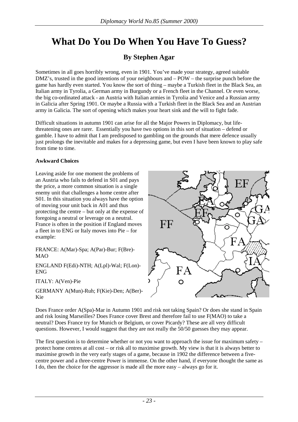# <span id="page-22-0"></span>**What Do You Do When You Have To Guess?**

### **By Stephen Agar**

Sometimes in all goes horribly wrong, even in 1901. You've made your strategy, agreed suitable DMZ's, trusted in the good intentions of your neighbours and – POW – the surprise punch before the game has hardly even started. You know the sort of thing – maybe a Turkish fleet in the Black Sea, an Italian army in Tyrolia, a German army in Burgundy or a French fleet in the Channel. Or even worse, the big co-ordinated attack - an Austria with Italian armies in Tyrolia and Venice and a Russian army in Galicia after Spring 1901. Or maybe a Russia with a Turkish fleet in the Black Sea and an Austrian army in Galicia. The sort of opening which makes your heart sink and the will to fight fade.

Difficult situations in autumn 1901 can arise for all the Major Powers in Diplomacy, but lifethreatening ones are rarer. Essentially you have two options in this sort of situation – defend or gamble. I have to admit that I am predisposed to gambling on the grounds that mere defence usually just prolongs the inevitable and makes for a depressing game, but even I have been known to play safe from time to time.

#### **Awkward Choices**

Leaving aside for one moment the problems of an Austria who fails to defend in S01 and pays the price, a more common situation is a single enemy unit that challenges a home centre after S01. In this situation you always have the option of moving your unit back in A01 and thus protecting the centre – but only at the expense of foregoing a neutral or leverage on a neutral. France is often in the position if England moves a fleet in to ENG or Italy moves into Pie – for example:

FRANCE: A(Mar)-Spa; A(Par)-Bur; F(Bre)- MAO

ENGLAND F(Edi)-NTH; A(Lpl)-Wal; F(Lon)- ENG

ITALY: A(Ven)-Pie

GERMANY A(Mun)-Ruh; F(Kie)-Den; A(Ber)- Kie



Does France order A(Spa)-Mar in Autumn 1901 and risk not taking Spain? Or does she stand in Spain and risk losing Marseilles? Does France cover Brest and therefore fail to use F(MAO) to take a neutral? Does France try for Munich or Belgium, or cover Picardy? These are all very difficult questions. However, I would suggest that they are not really the 50/50 guesses they may appear.

The first question is to determine whether or not you want to approach the issue for maximum safety – protect home centres at all cost – or risk all to maximise growth. My view is that it is always better to maximise growth in the very early stages of a game, because in 1902 the difference between a fivecentre power and a three-centre Power is immense. On the other hand, if everyone thought the same as I do, then the choice for the aggressor is made all the more easy – always go for it.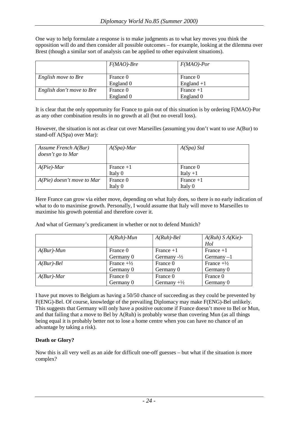|                           | $F(MAO)$ -Bre | $F(MAO)$ -Por |
|---------------------------|---------------|---------------|
| English move to Bre       | France 0      | France 0      |
|                           | England 0     | England $+1$  |
| English don't move to Bre | France 0      | France $+1$   |
|                           | England 0     | England 0     |

One way to help formulate a response is to make judgments as to what key moves you think the opposition will do and then consider all possible outcomes – for example, looking at the dilemma over Brest (though a similar sort of analysis can be applied to other equivalent situations).

It is clear that the only opportunity for France to gain out of this situation is by ordering F(MAO)-Por as any other combination results in no growth at all (but no overall loss).

However, the situation is not as clear cut over Marseilles (assuming you don't want to use A(Bur) to stand-off A(Spa) over Mar):

| Assume French $A(Bur)$<br>doesn't go to Mar | $A(Spa)$ -Mar | $A(Spa)$ Std |  |  |
|---------------------------------------------|---------------|--------------|--|--|
| $A(Pie)$ -Mar                               | France $+1$   | France 0     |  |  |
|                                             | Italy 0       | Italy $+1$   |  |  |
| $A(Pie)$ doesn't move to Mar                | France 0      | France $+1$  |  |  |
|                                             | Italy 0       | Italy 0      |  |  |

Here France can grow via either move, depending on what Italy does, so there is no early indication of what to do to maximise growth. Personally, I would assume that Italy will move to Marseilles to maximise his growth potential and therefore cover it.

And what of Germany's predicament in whether or not to defend Munich?

|               | $A(Ruh)$ -Mun         | $A(Ruh)$ -Bel          | $A(Ruh) S A(Kie)$ -<br>Hol |
|---------------|-----------------------|------------------------|----------------------------|
| $A(Bur)$ -Mun | France 0              | France $+1$            | France $+1$                |
|               | Germany 0             | Germany $-\frac{1}{2}$ | Germany $-1$               |
| $A(Bur)$ -Bel | France $+\frac{1}{2}$ | France 0               | France $+\frac{1}{2}$      |
|               | Germany 0             | Germany 0              | Germany 0                  |
| $A(Bur)$ -Mar | France 0              | France 0               | France 0                   |
|               | Germany 0             | Germany $+\frac{1}{2}$ | Germany 0                  |

I have put moves to Belgium as having a 50/50 chance of succeeding as they could be prevented by F(ENG)-Bel. Of course, knowledge of the prevailing Diplomacy may make F(ENG)-Bel unlikely. This suggests that Germany will only have a positive outcome if France doesn't move to Bel or Mun, and that failing that a move to Bel by A(Ruh) is probably worse than covering Mun (as all things being equal it is probably better not to lose a home centre when you can have no chance of an advantage by taking a risk).

#### **Death or Glory?**

Now this is all very well as an aide for difficult one-off guesses – but what if the situation is more complex?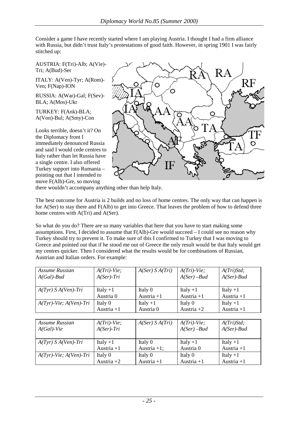Consider a game I have recently started where I am playing Austria. I thought I had a firm alliance with Russia, but didn't trust Italy's protestations of good faith. However, in spring 1901 I was fairly stitched up:

AUSTRIA: F(Tri)-Alb; A(Vie)- Tri; A(Bud)-Ser

ITALY: A(Ven)-Tyr; A(Rom)- Ven; F(Nap)-ION

RUSSIA: A(War)-Gal; F(Sev)- BLA; A(Mos)-Ukr

TURKEY: F(Ank)-BLA; A(Von)-Bul; A(Smy)-Con

Looks terrible, doesn't it? On the Diplomacy front I immediately denounced Russia and said I would cede centres to Italy rather than let Russia have a single centre. I also offered Turkey support into Rumania – pointing out that I intended to move F(Alb)-Gre, so moving



there wouldn't accompany anything other than help Italy.

The best outcome for Austria is 2 builds and no loss of home centres. The only way that can happen is for A(Ser) to stay there and F(Alb) to get into Greece. That leaves the problem of how to defend three home centres with A(Tri) and A(Ser).

So what do you do? There are so many variables that here that you have to start making some assumptions. First, I decided to assume that F(Alb)-Gre would succeed – I could see no reason why Turkey should try to prevent it. To make sure of this I confirmed to Turkey that I was moving to Greece and pointed out that if he stood me out of Greece the only result would be that Italy would get my centres quicker. Then I considered what the results would be for combinations of Russian, Austrian and Italian orders. For example:

| Assume Russian               | $A(Tri)$ -Vie;       | A(Ser) S A(Tri) | $A(Tri)$ -Vie; | A(Tri)Std;    |
|------------------------------|----------------------|-----------------|----------------|---------------|
| $A(Gal)$ -Bud                | $A(Ser)$ -Tri        |                 | $A(Ser)$ -Bud  | $A(Ser)$ -Bud |
|                              |                      |                 |                |               |
| $A(Tyr)$ S $A(Ven)$ -Tri     | Italy $+1$           | Italy 0         | Italy $+1$     | Italy $+1$    |
|                              | Austria <sub>0</sub> | Austria $+1$    | Austria $+1$   | Austria $+1$  |
| $A(Tyr)$ -Vie; $A(Ven)$ -Tri | Italy 0              | Italy $+1$      | Italy 0        | Italy $+1$    |
|                              | Austria $+1$         | Austria 0       | Austria $+2$   | Austria $+1$  |
|                              |                      |                 |                |               |
| Assume Russian               | $A(Tri)$ -Vie;       | A(Ser) S A(Tri) | $A(Tri)$ -Vie; | A(Tri)Std;    |
| $A(Gal)$ -Vie                | $A(Ser)$ -Tri        |                 | $A(Ser)$ -Bud  | $A(Ser)$ -Bud |
|                              |                      |                 |                |               |
| $A(Tyr)$ S $A(Ven)$ -Tri     | Italy $+1$           | Italy 0         | Italy $+1$     | Italy $+1$    |
|                              | Austria $+1$         | Austria $+1$ ;  | Austria 0      | Austria $+1$  |
| $A(Tyr)$ -Vie; $A(Ven)$ -Tri | Italy 0              | Italy 0         | Italy 0        | Italy $+1$    |
|                              | Austria $+2$         | Austria $+1$    | Austria $+1$   | Austria $+1$  |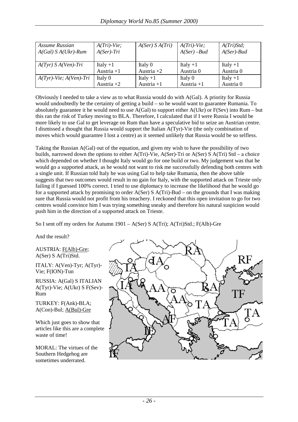| Assume Russian<br>$A(Gal) S A(Ukr)$ -Rum | $A(Tri)$ -Vie;<br>$A(Ser)$ -Tri | A(Ser) S A(Tri) | $A(Tri)$ -Vie;<br>$A(Ser)$ -Bud | A(Tri)Std;<br>$A(Ser)$ -Bud |
|------------------------------------------|---------------------------------|-----------------|---------------------------------|-----------------------------|
| $A(Tyr)$ S $A(Ven)$ -Tri                 | Italy $+1$                      | Italy 0         | Italy $+1$                      | Italy $+1$                  |
|                                          | Austria $+1$                    | Austria $+2$    | Austria 0                       | Austria 0                   |
| $A(Tyr)$ -Vie; $A(Ven)$ -Tri             | Italy 0                         | Italy $+1$      | Italy 0                         | Italy $+1$                  |
|                                          | Austria $+2$                    | Austria $+1$    | Austria $+1$                    | Austria 0                   |

Obviously I needed to take a view as to what Russia would do with A(Gal). A priority for Russia would undoubtedly be the certainty of getting a build – so he would want to guarantee Rumania. To absolutely guarantee it he would need to use A(Gal) to support either A(Ukr) or F(Sev) into Rum – but this ran the risk of Turkey moving to BLA. Therefore, I calculated that if I were Russia I would be more likely to use Gal to get leverage on Rum than have a speculative bid to seize an Austrian centre. I dismissed a thought that Russia would support the Italian A(Tyr)-Vie (the only combination of moves which would guarantee I lost a centre) as it seemed unlikely that Russia would be so selfless.

Taking the Russian A(Gal) out of the equation, and given my wish to have the possibility of two builds, narrowed down the options to either A(Tri)-Vie, A(Ser)-Tri or A(Ser) S A(Tri) Std – a choice which depended on whether I thought Italy would go for one build or two. My judgement was that he would go a supported attack, as he would not want to risk me successfully defending both centres with a single unit. If Russian told Italy he was using Gal to help take Rumania, then the above table suggests that two outcomes would result in no gain for Italy, with the supported attack on Trieste only failing if I guessed 100% correct. I tried to use diplomacy to increase the likelihood that he would go for a supported attack by promising to order A(Ser) S A(Tri)-Bud – on the grounds that I was making sure that Russia would not profit from his treachery. I reckoned that this open invitation to go for two centres would convince him I was trying something sneaky and therefore his natural suspicion would push him in the direction of a supported attack on Trieste.

So I sent off my orders for Autumn 1901 – A(Ser) S A(Tri); A(Tri)Std.; F(Alb)-Gre

And the result?

AUSTRIA: F(Alb)-Gre; A(Ser) S A(Tri)Std.

ITALY: A(Ven)-Tyr; A(Tyr)- Vie; F(ION)-Tun

RUSSIA: A(Gal) S ITALIAN A(Tyr)-Vie; A(Ukr) S F(Sev)- Rum

TURKEY: F(Ank)-BLA; A(Con)-Bul; A(Bul)-Gre

Which just goes to show that articles like this are a complete waste of time!

MORAL: The virtues of the Southern Hedgehog are sometimes underrated.

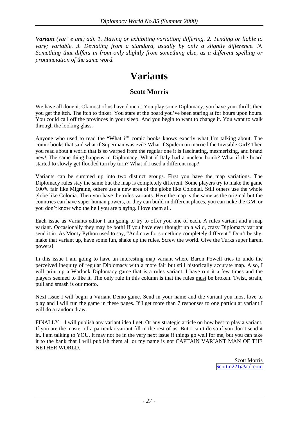<span id="page-26-0"></span>*Variant (var' e ant) adj. 1. Having or exhibiting variation; differing. 2. Tending or liable to vary; variable. 3. Deviating from a standard, usually by only a slightly difference. N. Something that differs in from only slightly from something else, as a different spelling or pronunciation of the same word.* 

### **Variants**

#### **Scott Morris**

We have all done it. Ok most of us have done it. You play some Diplomacy, you have your thrills then you get the itch. The itch to tinker. You stare at the board you've been staring at for hours upon hours. You could call off the provinces in your sleep. And you begin to want to change it. You want to walk through the looking glass.

Anyone who used to read the "What if" comic books knows exactly what I'm talking about. The comic books that said what if Superman was evil? What if Spiderman married the Invisible Girl? Then you read about a world that is so warped from the regular one it is fascinating, mesmerizing, and brand new! The same thing happens in Diplomacy. What if Italy had a nuclear bomb? What if the board started to slowly get flooded turn by turn? What if I used a different map?

Variants can be summed up into two distinct groups. First you have the map variations. The Diplomacy rules stay the same but the map is completely different. Some players try to make the game 100% fair like Migraine, others use a new area of the globe like Colonial. Still others use the whole globe like Colonia. Then you have the rules variants. Here the map is the same as the original but the countries can have super human powers, or they can build in different places, you can nuke the GM, or you don't know who the hell you are playing. I love them all.

Each issue as Variants editor I am going to try to offer you one of each. A rules variant and a map variant. Occasionally they may be both! If you have ever thought up a wild, crazy Diplomacy variant send it in. As Monty Python used to say, "And now for something completely different." Don't be shy, make that variant up, have some fun, shake up the rules. Screw the world. Give the Turks super harem powers!

In this issue I am going to have an interesting map variant where Baron Powell tries to undo the perceived inequity of regular Diplomacy with a more fair but still historically accurate map. Also, I will print up a Warlock Diplomacy game that is a rules variant. I have run it a few times and the players seemed to like it. The only rule in this column is that the rules must be broken. Twist, strain, pull and smash is our motto.

Next issue I will begin a Variant Demo game. Send in your name and the variant you most love to play and I will run the game in these pages. If I get more than 7 responses to one particular variant I will do a random draw.

FINALLY – I will publish any variant idea I get. Or any strategic article on how best to play a variant. If you are the master of a particular variant fill in the rest of us. But I can't do so if you don't send it in. I am talking to YOU. It may not be in the very next issue if things go well for me, but you can take it to the bank that I will publish them all or my name is not CAPTAIN VARIANT MAN OF THE NETHER WORLD.

> Scott Morris [Scottm221@aol.com](mailto:Scottm221@aol.com)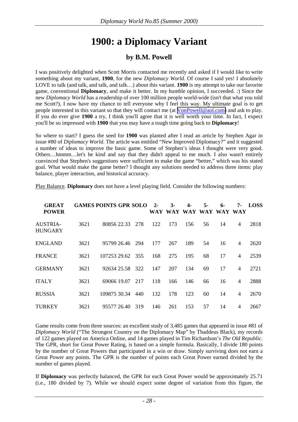# **1900: a Diplomacy Variant**

### **by B.M. Powell**

<span id="page-27-0"></span>I was positively delighted when Scott Morris contacted me recently and asked if I would like to write something about my variant, **1900**, for the new *Diplomacy World*. Of course I said yes! I absolutely LOVE to talk (and talk, and talk, and talk…) about this variant. **1900** is my attempt to take our favorite game, conventional **Diplomacy**, and make it better. In my humble opinion, I succeeded. :) Since the new *Diplomacy World* has a readership of over 100 million people world-wide (isn't that what you told me Scott?), I now have my chance to tell everyone why I feel this way. My ultimate goal is to get people interested in this variant so that they will contact me (at [VonPowell@aol.com\)](mailto:VonPowell@aol.com) and ask to play. If you do ever give **1900** a try, I think you'll agree that it is well worth your time. In fact, I expect you'll be so impressed with **1900** that you may have a tough time going back to **Diplomacy**!

So where to start? I guess the seed for **1900** was planted after I read an article by Stephen Agar in issue #80 of *Diplomacy World*. The article was entitled "New Improved Diplomacy?" and it suggested a number of ideas to improve the basic game. Some of Stephen's ideas I thought were very good. Others…hmmm…let's be kind and say that they didn't appeal to me much. I also wasn't entirely convinced that Stephen's suggestions were sufficient to make the game "better," which was his stated goal. What would make the game better? I thought any solutions needed to address three items: play balance, player interaction, and historical accuracy.

| <b>GREAT</b><br><b>POWER</b>      |      | <b>GAMES POINTS GPR SOLO</b> |     | $2 -$<br>WAY | $3-$<br>WAY | 4-  | $5-$<br>WAY WAY | $6 -$<br>WAY WAY | 7-             | <b>LOSS</b> |
|-----------------------------------|------|------------------------------|-----|--------------|-------------|-----|-----------------|------------------|----------------|-------------|
| <b>AUSTRIA-</b><br><b>HUNGARY</b> | 3621 | 80856 22.33                  | 278 | 122          | 173         | 156 | 56              | 14               | $\overline{4}$ | 2818        |
| <b>ENGLAND</b>                    | 3621 | 95799 26.46                  | 294 | 177          | 267         | 189 | 54              | 16               | $\overline{4}$ | 2620        |
| <b>FRANCE</b>                     | 3621 | 107253 29.62 355             |     | 168          | 275         | 195 | 68              | 17               | $\overline{4}$ | 2539        |
| <b>GERMANY</b>                    | 3621 | 92634 25.58                  | 322 | 147          | 207         | 134 | 69              | 17               | $\overline{4}$ | 2721        |
| <b>ITALY</b>                      | 3621 | 69066 19.07                  | 217 | 118          | 166         | 146 | 66              | 16               | $\overline{4}$ | 2888        |
| <b>RUSSIA</b>                     | 3621 | 109875 30.34                 | 440 | 132          | 178         | 123 | 60              | 14               | $\overline{4}$ | 2670        |
| TURKEY                            | 3621 | 95577 26.40                  | 319 | 146          | 261         | 153 | 57              | 14               | $\overline{4}$ | 2667        |

Play Balance. **Diplomacy** does not have a level playing field. Consider the following numbers:

Game results come from three sources: an excellent study of 3,485 games that appeared in issue #81 of *Diplomacy World* ("The Strongest Country on the Diplomacy Map" by Thaddeus Black), my records of 122 games played on America Online, and 14 games played in Tim Richardson's *The Old Republic*. The GPR, short for Great Power Rating, is based on a simple formula. Basically, I divide 180 points by the number of Great Powers that participated in a win or draw. Simply surviving does not earn a Great Power any points. The GPR is the number of points each Great Power earned divided by the number of games played.

If **Diplomacy** was perfectly balanced, the GPR for each Great Power would be approximately 25.71 (i.e., 180 divided by 7). While we should expect some degree of variation from this figure, the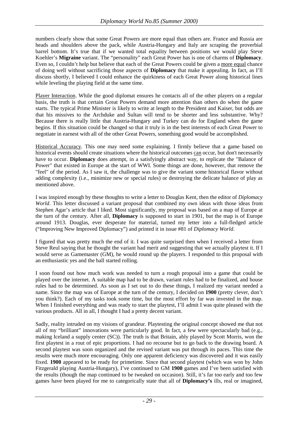numbers clearly show that some Great Powers are more equal than others are. France and Russia are heads and shoulders above the pack, while Austria-Hungary and Italy are scraping the proverbial barrel bottom. It's true that if we wanted total equality between positions we would play Steve Koehler's **Migraine** variant. The "personality" each Great Power has is one of charms of **Diplomacy**. Even so, I couldn't help but believe that each of the Great Powers could be given a more equal chance of doing well without sacrificing those aspects of **Diplomacy** that make it appealing. In fact, as I'll discuss shortly, I believed I could enhance the quirkiness of each Great Power along historical lines while leveling the playing field at the same time.

Player Interaction. While the good diplomat ensures he contacts all of the other players on a regular basis, the truth is that certain Great Powers demand more attention than others do when the game starts. The typical Prime Minister is likely to write at length to the President and Kaiser, but odds are that his missives to the Archduke and Sultan will tend to be shorter and less substantive. Why? Because there is really little that Austria-Hungary and Turkey can do for England when the game begins. If this situation could be changed so that it truly is in the best interests of each Great Power to negotiate in earnest with all of the other Great Powers, something good would be accomplished.

Historical Accuracy. This one may need some explaining. I firmly believe that a game based on historical events should create situations where the historical outcomes can occur, but don't necessarily have to occur. **Diplomacy** does attempt, in a satisfyingly abstract way, to replicate the "Balance of Power" that existed in Europe at the start of WWI. Some things are done, however, that remove the "feel" of the period. As I saw it, the challenge was to give the variant some historical flavor without adding complexity (i.e., minimize new or special rules) or destroying the delicate balance of play as mentioned above.

I was inspired enough by these thoughts to write a letter to Douglas Kent, then the editor of *Diplomacy World*. This letter discussed a variant proposal that combined my own ideas with those ideas from Stephen Agar's article that I liked. Most significantly, my proposal was based on a map of Europe at the turn of the century. After all, **Diplomacy** is supposed to start in 1901, but the map is of Europe around 1913. Douglas, ever desperate for material, turned my letter into a full-fledged article ("Improving New Improved Diplomacy") and printed it in issue #81 of *Diplomacy World*.

I figured that was pretty much the end of it. I was quite surprised then when I received a letter from Steve Reul saying that he thought the variant had merit and suggesting that we actually playtest it. If I would serve as Gamemaster (GM), he would round up the players. I responded to this proposal with an enthusiastic yes and the ball started rolling.

I soon found out how much work was needed to turn a rough proposal into a game that could be played over the internet. A suitable map had to be drawn, variant rules had to be finalized, and house rules had to be determined. As soon as I set out to do these things, I realized my variant needed a name. Since the map was of Europe at the turn of the century, I decided on **1900** (pretty clever, don't you think?). Each of my tasks took some time, but the most effort by far was invested in the map. When I finished everything and was ready to start the playtest, I'll admit I was quite pleased with the various products. All in all, I thought I had a pretty decent variant.

Sadly, reality intruded on my visions of grandeur. Playtesting the original concept showed me that not all of my "brilliant" innovations were particularly good. In fact, a few were spectacularly bad (e.g., making Iceland a supply center (SC)). The truth is that Britain, ably played by Scott Morris, won the first playtest in a rout of epic proportions. I had no recourse but to go back to the drawing board. A second playtest was soon organized and the revised variant was put through its paces. This time the results were much more encouraging. Only one apparent deficiency was discovered and it was easily fixed. **1900** appeared to be ready for primetime. Since that second playtest (which was won by John Fitzgerald playing Austria-Hungary), I've continued to GM **1900** games and I've been satisfied with the results (though the map continued to be tweaked on occasion). Still, it's far too early and too few games have been played for me to categorically state that all of **Diplomacy's** ills, real or imagined,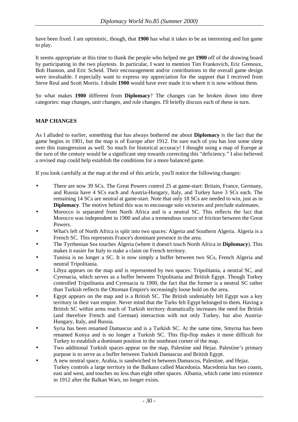have been fixed. I am optimistic, though, that **1900** has what it takes to be an interesting and fun game to play.

It seems appropriate at this time to thank the people who helped me get **1900** off of the drawing board by participating in the two playtests. In particular, I want to mention Tim Frankovich, Eric Grenoux, Bob Hannon, and Eric Scheid. Their encouragement and/or contributions to the overall game design were invaluable. I especially want to express my appreciation for the support that I received from Steve Reul and Scott Morris. I doubt **1900** would have ever made it to where it is now without them.

So what makes **1900** different from **Diplomacy**? The changes can be broken down into three categories: map changes, unit changes, and rule changes. I'll briefly discuss each of these in turn.

#### **MAP CHANGES**

As I alluded to earlier, something that has always bothered me about **Diplomacy** is the fact that the game begins in 1901, but the map is of Europe after 1912. I'm sure each of you has lost some sleep over this transgression as well. So much for historical accuracy! I thought using a map of Europe at the turn of the century would be a significant step towards correcting this "deficiency." I also believed a revised map could help establish the conditions for a more balanced game.

If you look carefully at the map at the end of this article, you'll notice the following changes:

- There are now 39 SCs. The Great Powers control 25 at game-start: Britain, France, Germany, and Russia have 4 SCs each and Austria-Hungary, Italy, and Turkey have 3 SCs each. The remaining 14 SCs are neutral at game-start. Note that only 18 SCs are needed to win, just as in **Diplomacy**. The motive behind this was to encourage solo victories and preclude stalemates.
- Morocco is separated from North Africa and is a neutral SC. This reflects the fact that Morocco was independent in 1900 and also a tremendous source of friction between the Great **Powers**
- What's left of North Africa is split into two spaces: Algeria and Southern Algeria. Algeria is a French SC. This represents France's dominant presence in the area.
- The Tyrrhenian Sea touches Algeria (where it doesn't touch North Africa in **Diplomacy**). This makes it easier for Italy to stake a claim on French territory.
- Tunisia is no longer a SC. It is now simply a buffer between two SCs, French Algeria and neutral Tripolitania.
- Libya appears on the map and is represented by two spaces: Tripolitania, a neutral SC, and Cyrenacia, which serves as a buffer between Tripolitania and British Egypt. Though Turkey controlled Tripolitania and Cyrenacia in 1900, the fact that the former is a neutral SC rather than Turkish reflects the Ottoman Empire's increasingly loose hold on the area.
- Egypt appears on the map and is a British SC. The British undeniably felt Egypt was a key territory in their vast empire. Never mind that the Turks felt Egypt belonged to them. Having a British SC within arms reach of Turkish territory dramatically increases the need for British (and therefore French and German) interaction with not only Turkey, but also Austria-Hungary, Italy, and Russia.
- Syria has been renamed Damascus and is a Turkish SC. At the same time, Smyrna has been renamed Konya and is no longer a Turkish SC. This flip-flop makes it more difficult for Turkey to establish a dominant position in the southeast corner of the map.
- Two additional Turkish spaces appear on the map, Palestine and Hejaz. Palestine's primary purpose is to serve as a buffer between Turkish Damascus and British Egypt.
- A new neutral space, Arabia, is sandwiched in between Damascus, Palestine, and Hejaz. Turkey controls a large territory in the Balkans called Macedonia. Macedonia has two coasts, east and west, and touches no less than eight other spaces. Albania, which came into existence in 1912 after the Balkan Wars, no longer exists.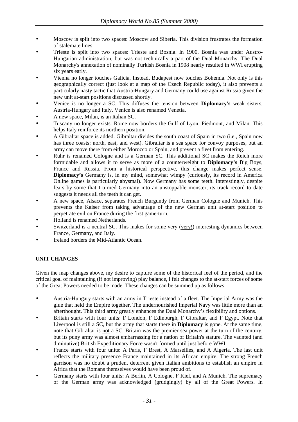- Moscow is split into two spaces: Moscow and Siberia. This division frustrates the formation of stalemate lines.
- Trieste is split into two spaces: Trieste and Bosnia. In 1900, Bosnia was under Austro-Hungarian administration, but was not technically a part of the Dual Monarchy. The Dual Monarchy's annexation of nominally Turkish Bosnia in 1908 nearly resulted in WWI erupting six years early.
- Vienna no longer touches Galicia. Instead, Budapest now touches Bohemia. Not only is this geographically correct (just look at a map of the Czech Republic today), it also prevents a particularly nasty tactic that Austria-Hungary and Germany could use against Russia given the new unit at-start positions discussed shortly.
- Venice is no longer a SC. This diffuses the tension between **Diplomacy's** weak sisters, Austria-Hungary and Italy. Venice is also renamed Venetia.
- A new space, Milan, is an Italian SC.
- Tuscany no longer exists. Rome now borders the Gulf of Lyon, Piedmont, and Milan. This helps Italy reinforce its northern position.
- A Gibraltar space is added. Gibraltar divides the south coast of Spain in two (i.e., Spain now has three coasts: north, east, and west). Gibraltar is a sea space for convoy purposes, but an army can move there from either Morocco or Spain, and prevent a fleet from entering.
- Ruhr is renamed Cologne and is a German SC. This additional SC makes the Reich more formidable and allows it to serve as more of a counterweight to **Diplomacy's** Big Boys, France and Russia. From a historical perspective, this change makes perfect sense. **Diplomacy's** Germany is, in my mind, somewhat wimpy (curiously, its record in America Online games is particularly abysmal). Now Germany has some teeth. Interestingly, despite fears by some that I turned Germany into an unstoppable monster, its track record to date suggests it needs all the teeth it can get.
- A new space, Alsace, separates French Burgundy from German Cologne and Munich. This prevents the Kaiser from taking advantage of the new German unit at-start position to perpetrate evil on France during the first game-turn.
- Holland is renamed Netherlands.
- Switzerland is a neutral SC. This makes for some very (very!) interesting dynamics between France, Germany, and Italy.
- Ireland borders the Mid-Atlantic Ocean.

#### **UNIT CHANGES**

Given the map changes above, my desire to capture some of the historical feel of the period, and the critical goal of maintaining (if not improving) play balance, I felt changes to the at-start forces of some of the Great Powers needed to be made. These changes can be summed up as follows:

- Austria-Hungary starts with an army in Trieste instead of a fleet. The Imperial Army was the glue that held the Empire together. The undernourished Imperial Navy was little more than an afterthought. This third army greatly enhances the Dual Monarchy's flexibility and options.
- Britain starts with four units: F London, F Edinburgh, F Gibraltar, and F Egypt. Note that Liverpool is still a SC, but the army that starts there in **Diplomacy** is gone. At the same time, note that Gibraltar is not a SC. Britain was the premier sea power at the turn of the century, but its puny army was almost embarrassing for a nation of Britain's stature. The vaunted (and diminutive) British Expeditionary Force wasn't formed until just before WWI.
- France starts with four units: A Paris, F Brest, A Marseilles, and A Algeria. The last unit reflects the military presence France maintained in its African empire. The strong French garrison was no doubt a prudent deterrent given Italian ambitions to establish an empire in Africa that the Romans themselves would have been proud of.
- Germany starts with four units: A Berlin, A Cologne, F Kiel, and A Munich. The supremacy of the German army was acknowledged (grudgingly) by all of the Great Powers. In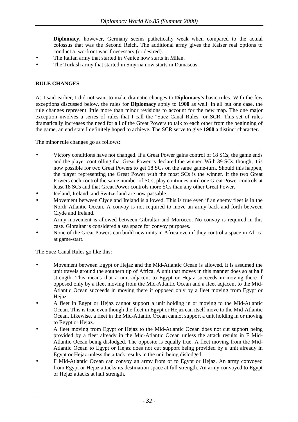**Diplomacy**, however, Germany seems pathetically weak when compared to the actual colossus that was the Second Reich. The additional army gives the Kaiser real options to conduct a two-front war if necessary (or desired).

- The Italian army that started in Venice now starts in Milan.
- The Turkish army that started in Smyrna now starts in Damascus.

#### **RULE CHANGES**

As I said earlier, I did not want to make dramatic changes to **Diplomacy's** basic rules. With the few exceptions discussed below, the rules for **Diplomacy** apply to **1900** as well. In all but one case, the rule changes represent little more than minor revisions to account for the new map. The one major exception involves a series of rules that I call the "Suez Canal Rules" or SCR. This set of rules dramatically increases the need for all of the Great Powers to talk to each other from the beginning of the game, an end state I definitely hoped to achieve. The SCR serve to give **1900** a distinct character.

The minor rule changes go as follows:

- Victory conditions have not changed. If a Great Power gains control of 18 SCs, the game ends and the player controlling that Great Power is declared the winner. With 39 SCs, though, it is now possible for two Great Powers to get 18 SCs on the same game-turn. Should this happen, the player representing the Great Power with the most SCs is the winner. If the two Great Powers each control the same number of SCs, play continues until one Great Power controls at least 18 SCs and that Great Power controls more SCs than any other Great Power.
- Iceland, Ireland, and Switzerland are now passable.
- Movement between Clyde and Ireland is allowed. This is true even if an enemy fleet is in the North Atlantic Ocean. A convoy is not required to move an army back and forth between Clyde and Ireland.
- Army movement is allowed between Gibraltar and Morocco. No convoy is required in this case. Gibraltar is considered a sea space for convoy purposes.
- None of the Great Powers can build new units in Africa even if they control a space in Africa at game-start.

The Suez Canal Rules go like this:

- Movement between Egypt or Hejaz and the Mid-Atlantic Ocean is allowed. It is assumed the unit travels around the southern tip of Africa. A unit that moves in this manner does so at half strength. This means that a unit adjacent to Egypt or Hejaz succeeds in moving there if opposed only by a fleet moving from the Mid-Atlantic Ocean and a fleet adjacent to the Mid-Atlantic Ocean succeeds in moving there if opposed only by a fleet moving from Egypt or Hejaz.
- A fleet in Egypt or Hejaz cannot support a unit holding in or moving to the Mid-Atlantic Ocean. This is true even though the fleet in Egypt or Hejaz can itself move to the Mid-Atlantic Ocean. Likewise, a fleet in the Mid-Atlantic Ocean cannot support a unit holding in or moving to Egypt or Hejaz.
- A fleet moving from Egypt or Hejaz to the Mid-Atlantic Ocean does not cut support being provided by a fleet already in the Mid-Atlantic Ocean unless the attack results in F Mid-Atlantic Ocean being dislodged. The opposite is equally true. A fleet moving from the Mid-Atlantic Ocean to Egypt or Hejaz does not cut support being provided by a unit already in Egypt or Hejaz unless the attack results in the unit being dislodged.
- F Mid-Atlantic Ocean can convoy an army from or to Egypt or Hejaz. An army convoyed from Egypt or Hejaz attacks its destination space at full strength. An army convoyed to Egypt or Hejaz attacks at half strength.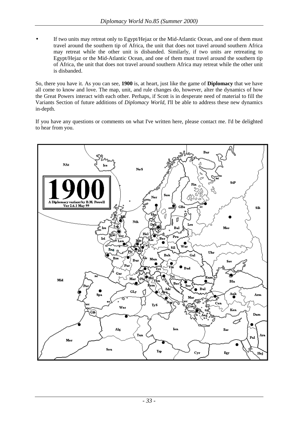• If two units may retreat only to Egypt/Hejaz or the Mid-Atlantic Ocean, and one of them must travel around the southern tip of Africa, the unit that does not travel around southern Africa may retreat while the other unit is disbanded. Similarly, if two units are retreating to Egypt/Hejaz or the Mid-Atlantic Ocean, and one of them must travel around the southern tip of Africa, the unit that does not travel around southern Africa may retreat while the other unit is disbanded.

So, there you have it. As you can see, **1900** is, at heart, just like the game of **Diplomacy** that we have all come to know and love. The map, unit, and rule changes do, however, alter the dynamics of how the Great Powers interact with each other. Perhaps, if Scott is in desperate need of material to fill the Variants Section of future additions of *Diplomacy World*, I'll be able to address these new dynamics in-depth.

If you have any questions or comments on what I've written here, please contact me. I'd be delighted to hear from you.

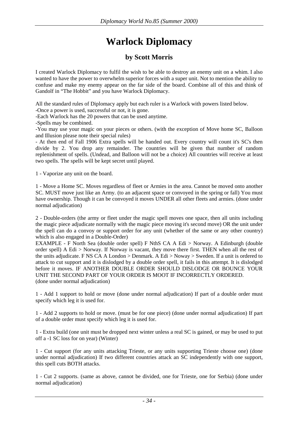# **Warlock Diplomacy**

### **by Scott Morris**

<span id="page-33-0"></span>I created Warlock Diplomacy to fulfil the wish to be able to destroy an enemy unit on a whim. I also wanted to have the power to overwhelm superior forces with a super unit. Not to mention the ability to confuse and make my enemy appear on the far side of the board. Combine all of this and think of Gandolf in "The Hobbit" and you have Warlock Diplomacy.

All the standard rules of Diplomacy apply but each ruler is a Warlock with powers listed below.

-Once a power is used, successful or not, it is gone.

-Each Warlock has the 20 powers that can be used anytime.

-Spells may be combined.

-You may use your magic on your pieces or others. (with the exception of Move home SC, Balloon and Illusion please note their special rules)

- At then end of Fall 1906 Extra spells will be handed out. Every country will count it's SC's then divide by 2. You drop any remainder. The countries will be given that number of random replenishment of spells. (Undead, and Balloon will not be a choice) All countries will receive at least two spells. The spells will be kept secret until played.

1 - Vaporize any unit on the board.

1 - Move a Home SC. Moves regardless of fleet or Armies in the area. Cannot be moved onto another SC. MUST move just like an Army. (to an adjacent space or convoyed in the spring or fall) You must have ownership. Though it can be convoyed it moves UNDER all other fleets and armies. (done under normal adjudication)

2 - Double-orders (the army or fleet under the magic spell moves one space, then all units including the magic piece adjudicate normally with the magic piece moving it's second move) OR the unit under the spell can do a convoy or support order for any unit (whether of the same or any other country) which is also engaged in a Double-Order)

EXAMPLE - F North Sea (double order spell) F NthS CA A Edi > Norway. A Edinburgh (double order spell) A Edi > Norway. If Norway is vacant, they move there first. THEN when all the rest of the units adjudicate. F NS CA A London > Denmark. A Edi > Noway > Sweden. If a unit is ordered to attack to cut support and it is dislodged by a double order spell, it fails in this attempt. It is dislodged before it moves. IF ANOTHER DOUBLE ORDER SHOULD DISLODGE OR BOUNCE YOUR UNIT THE SECOND PART OF YOUR ORDER IS MOOT IF INCORRECTLY ORDERED. (done under normal adjudication)

1 - Add 1 support to hold or move (done under normal adjudication) If part of a double order must specify which leg it is used for.

1 - Add 2 supports to hold or move. (must be for one piece) (done under normal adjudication) If part of a double order must specify which leg it is used for.

1 - Extra build (one unit must be dropped next winter unless a real SC is gained, or may be used to put off a -1 SC loss for on year) (Winter)

1 - Cut support (for any units attacking Trieste, or any units supporting Trieste choose one) (done under normal adjudication) If two different countries attack an SC independently with one support, this spell cuts BOTH attacks.

1 - Cut 2 supports. (same as above, cannot be divided, one for Trieste, one for Serbia) (done under normal adjudication)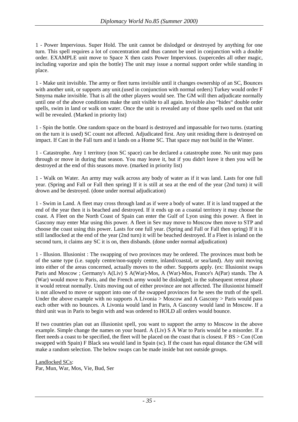1 - Power Impervious. Super Hold. The unit cannot be dislodged or destroyed by anything for one turn. This spell requires a lot of concentration and thus cannot be used in conjunction with a double order. EXAMPLE unit move to Space X then casts Power Impervious. (supercedes all other magic, including vaporize and spin the bottle) The unit may issue a normal support order while standing in place.

1 - Make unit invisible. The army or fleet turns invisible until it changes ownership of an SC, Bounces with another unit, or supports any unit. (used in conjunction with normal orders) Turkey would order F Smyrna make invisible. That is all the other players would see. The GM will then adjudicate normally until one of the above conditions make the unit visible to all again. Invisible also "hides" double order spells, swim in land or walk on water. Once the unit is revealed any of those spells used on that unit will be revealed. (Marked in priority list)

1 - Spin the bottle. One random space on the board is destroyed and impassable for two turns. (starting on the turn it is used) SC count not affected. Adjudicated first. Any unit residing there is destroyed on impact. If Cast in the Fall turn and it lands on a Home SC. That space may not build in the Winter.

1 - Catastrophe. Any 1 territory (non SC space) can be declared a catastrophe zone. No unit may pass through or move in during that season. You may leave it, but if you didn't leave it then you will be destroyed at the end of this seasons move. (marked in priority list)

1 - Walk on Water. An army may walk across any body of water as if it was land. Lasts for one full year. (Spring and Fall or Fall then spring) If it is still at sea at the end of the year (2nd turn) it will drown and be destroyed. (done under normal adjudication)

1 - Swim in Land. A fleet may cross through land as if were a body of water. If it is land trapped at the end of the year then it is beached and destroyed. If it ends up on a coastal territory it may choose the coast. A Fleet on the North Coast of Spain can enter the Gulf of Lyon using this power. A fleet in Gascony may enter Mar using this power. A fleet in Sev may move to Moscow then move to STP and choose the coast using this power. Lasts for one full year. (Spring and Fall or Fall then spring) If it is still landlocked at the end of the year (2nd turn) it will be beached destroyed. If a Fleet is inland on the second turn, it claims any SC it is on, then disbands. (done under normal adjudication)

1 - Illusion. Illusionist : The swapping of two provinces may be ordered. The provinces must both be of the same type (i.e. supply centre/non-supply centre, inland/coastal, or sea/land). Any unit moving into either of the areas concerned, actually moves to the other. Supports apply. (ex: Illusionist swaps Paris and Moscow ; Germany's A(Liv) S A(War)-Mos, A (War)-Mos, France's A(Par) stands. The A (War) would move to Paris, and the French army would be dislodged; in the subsequent retreat phase it would retreat normally. Units moving out of either province are not affected. The illusionist himself is not allowed to move or support into one of the swapped provinces for he sees the truth of the spell. Under the above example with no supports A Livonia > Moscow and A Gascony > Paris would pass each other with no bounces. A Livonia would land in Paris, A Gascony would land in Moscow. If a third unit was in Paris to begin with and was ordered to HOLD all orders would bounce.

If two countries plan out an illusionist spell, you want to support the army to Moscow in the above example. Simple change the names on your board. A (Liv) S A War to Paris would be a misorder. If a fleet needs a coast to be specified, the fleet will be placed on the coast that is closest. F BS > Con (Con swapped with Spain) F Black sea would land in Spain (sc). If the coast has equal distance the GM will make a random selection. The below swaps can be made inside but not outside groups.

Landlocked SCs: Par, Mun, War, Mos, Vie, Bud, Ser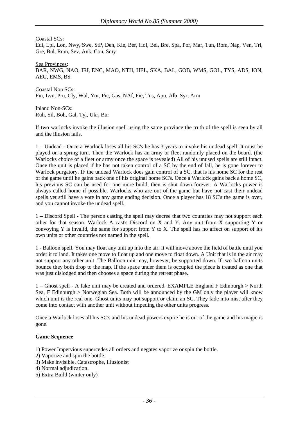Coastal SCs:

Edi, Lpl, Lon, Nwy, Swe, StP, Den, Kie, Ber, Hol, Bel, Bre, Spa, Por, Mar, Tun, Rom, Nap, Ven, Tri, Gre, Bul, Rum, Sev, Ank, Con, Smy

Sea Provinces: BAR, NWG, NAO, IRI, ENC, MAO, NTH, HEL, SKA, BAL, GOB, WMS, GOL, TYS, ADS, ION, AEG, EMS, BS

Coastal Non SCs: Fin, Lvn, Pru, Cly, Wal, Yor, Pic, Gas, NAf, Pie, Tus, Apu, Alb, Syr, Arm

Inland Non-SCs: Ruh, Sil, Boh, Gal, Tyl, Ukr, Bur

If two warlocks invoke the illusion spell using the same province the truth of the spell is seen by all and the illusion fails.

1 – Undead - Once a Warlock loses all his SC's he has 3 years to invoke his undead spell. It must be played on a spring turn. Then the Warlock has an army or fleet randomly placed on the board. (the Warlocks choice of a fleet or army once the space is revealed) All of his unused spells are still intact. Once the unit is placed if he has not taken control of a SC by the end of fall, he is gone forever to Warlock purgatory. IF the undead Warlock does gain control of a SC, that is his home SC for the rest of the game until he gains back one of his original home SC's. Once a Warlock gains back a home SC, his previous SC can be used for one more build, then is shut down forever. A Warlocks power is always called home if possible. Warlocks who are out of the game but have not cast their undead spells yet still have a vote in any game ending decision. Once a player has 18 SC's the game is over, and you cannot invoke the undead spell.

1 – Discord Spell - The person casting the spell may decree that two countries may not support each other for that season. Warlock A cast's Discord on X and Y. Any unit from X supporting Y or convoying Y is invalid, the same for support from Y to X. The spell has no affect on support of it's own units or other countries not named in the spell.

1 - Balloon spell. You may float any unit up into the air. It will move above the field of battle until you order it to land. It takes one move to float up and one move to float down. A Unit that is in the air may not support any other unit. The Balloon unit may, however, be supported down. If two balloon units bounce they both drop to the map. If the space under them is occupied the piece is treated as one that was just dislodged and then chooses a space during the retreat phase.

1 – Ghost spell - A fake unit may be created and ordered. EXAMPLE England F Edinburgh > North Sea, F Edinburgh > Norwegian Sea. Both will be announced by the GM only the player will know which unit is the real one. Ghost units may not support or claim an SC. They fade into mist after they come into contact with another unit without impeding the other units progress.

Once a Warlock loses all his SC's and his undead powers expire he is out of the game and his magic is gone.

#### **Game Sequence**

- 1) Power Impervious supercedes all orders and negates vaporize or spin the bottle.
- 2) Vaporize and spin the bottle.
- 3) Make invisible, Catastrophe, Illusionist
- 4) Normal adjudication.
- 5) Extra Build (winter only)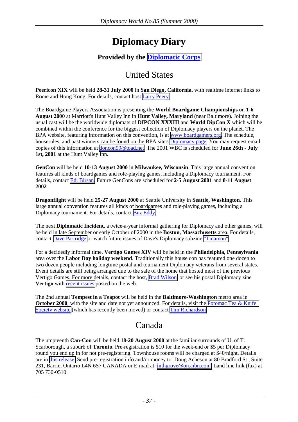# **Diplomacy Diary**

### **Provided by the [Diplomatic Corps](http://www.diplomaticcorps.org/)**

### United States

<span id="page-36-0"></span>**Peericon XIX** will be held **28-31 July 2000** in **San Diego, California**, with realtime internet links to Rome and Hong Kong. For details, contact host [Larry Peery.](mailto:peery@ix.netcom.com)

The Boardgame Players Association is presenting the **World Boardgame Championships** on **1-6 August 2000** at Marriott's Hunt Valley Inn in **Hunt Valley, Maryland** (near Baltimore). Joining the usual cast will be the worldwide diplomats of **DIPCON XXXIII** and **World DipCon X** which will be combined within the conference for the biggest collection of Diplomacy players on the planet. The BPA website, featuring information on this convention, is at [www.boardgamers.org.](http://www.boardgamers.org/) The schedule, houserules, and past winners can be found on the BPA site's [Diplomacy page.](http://www.boardgamers.org/yearbook/dippge.htm) You may request email copies of this information at [doncon99@toad.net.](mailto:doncon99@toad.net) The 2001 WBC is scheduled for **June 26th - July 1st, 2001** at the Hunt Valley Inn.

**GenCon** will be held **10-13 August 2000** in **Milwaukee, Wisconsin**. This large annual convention features all kinds of boardgames and role-playing games, including a Diplomacy tournament. For details, contact [Edi Birsan.](mailto:edi@mgames.com) Future GenCons are scheduled for **2-5 August 2001** and **8-11 August 2002**.

**Dragonflight** will be held **25-27 August 2000** at Seattle University in **Seattle, Washington**. This large annual convention features all kinds of boardgames and role-playing games, including a Diplomacy tournament. For details, contact [Buz Eddy.](mailto:BuzEddy@aol.com)

The next **Diplomatic Incident**, a twice-a-year informal gathering for Diplomacy and other games, will be held in late September or early October of 2000 in the **Boston, Massachusetts** area. For details, contact [Dave Partridge](mailto:rebhuhn@rocketmail.com) or watch future issues of Dave's Diplomacy subzine ["Tinamou".](http://devel.igo.org/DipPouch/Postal/Zines/TAP)

For a decidedly informal time, **Vertigo Games XIV** will be held in the **Philadelphia, Pennsylvania** area over the **Labor Day holiday weekend**. Traditionally this house con has featured one dozen to two dozen people including longtime postal and tournament Diplomacy veterans from several states. Event details are still being arranged due to the sale of the home that hosted most of the previous Vertigo Games. For more details, contact the host, [Brad Wilson,](mailto:dolphin_146@hotmail.com) or see his postal Diplomacy zine **Vertigo** with [recent issues](http://www.misty.com/people/donna/vertigo) posted on the web.

The 2nd annual **Tempest in a Teapot** will be held in the **Baltimore-Washington** metro area in **October 2000**, with the site and date not yet announced. For details, visit the Potomac Tea & Knife [Society website](http://www.cs.umbc.edu/~ikep/) (which has recently been moved) or contact [Tim Richardson.](mailto:tim@diplom.org)

### Canada

The umpteenth **Can-Con** will be held **18-20 August 2000** at the familiar surrounds of U. of T. Scarborough, a suburb of **Toronto**. Pre-registration is \$10 for the week-end or \$5 per Diplomacy round you end up in for not pre-registering. Townhouse rooms will be charged at \$40/night. Details are in [this release.](http://www.diplomaticcorps.org/ComingEvents/cancon2.html) Send pre-registration info and/or money to: Doug Acheson at 80 Bradford St., Suite 231, Barrie, Ontario L4N 6S7 CANADA or E-mail at: [nithgrove@on.aibn.com.](mailto:nithgrove@on.aibn.com) Land line link (fax) at 705 730-0510.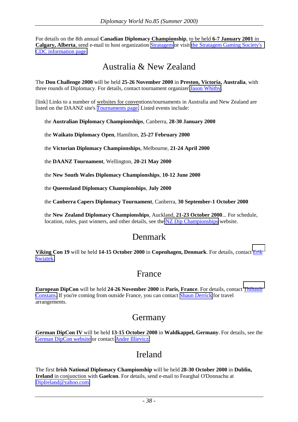For details on the 8th annual **Canadian Diplomacy Championship**, to be held **6-7 January 2001** in **Calgary, Alberta**, send e-mail to host organization [Stratagem](mailto:stratage@home.com) or visit [the Stratagem Gaming Society's](http://members.home.net/stratage/diplomacy/dipinfo.html)  [CDC information page.](http://members.home.net/stratage/diplomacy/dipinfo.html)

### Australia & New Zealand

The **Don Challenge 2000** will be held **25-26 November 2000** in **Preston, Victoria, Australia**, with three rounds of Diplomacy. For details, contact tournament organizer [Jason Whitby.](mailto:j.whitby@pgrad.unimelb.edu.au)

[link] Links to a number of websites for conventions/tournaments in Australia and New Zealand are listed on the DAANZ site's [Tournaments page.](http://www.thingy.apana.org.au/~ozdip/dip-tour.htm) Listed events include:

the **Australian Diplomacy Championships**, Canberra, **28-30 January 2000**

the **Waikato Diplomacy Open**, Hamilton, **25-27 February 2000**

the **Victorian Diplomacy Championships**, Melbourne, **21-24 April 2000**

the **DAANZ Tournament**, Wellington, **20-21 May 2000**

the **New South Wales Diplomacy Championships**, **10-12 June 2000**

the **Queensland Diplomacy Championships**, **July 2000**

the **Canberra Capers Diplomacy Tournament**, Canberra, **30 September-1 October 2000**

the **New Zealand Diplomacy Championships**, Auckland, **21-23 October 2000**... For schedule, location, rules, past winners, and other details, see the [NZ Dip Championships](http://www.stevensons.co.nz/~bjc/Diplomacy_articles/NZChamps.html) website.

### Denmark

**Viking Con 19** will be held **14-15 October 2000** in **Copenhagen, Denmark**. For details, contact [Erik](mailto:Swiatek@ruc.dk)  [Swiatek.](mailto:Swiatek@ruc.dk)

### France

**European DipCon** will be held **24-26 November 2000** in **Paris, France**. For details, contact [Thibault](mailto:thibault.constans@vnumail.com)  [Constans.](mailto:thibault.constans@vnumail.com) If you're coming from outside France, you can contact [Shaun Derrick](mailto:shaun.derrick@travelmanagement.co.uk) for travel arrangements.

### Germany

**German DipCon IV** will be held **13-15 October 2000** in **Waldkappel, Germany**. For details, see the [German DipCon website](http://www.dipcon.de/) or contact [Andre Illievicz.](mailto:info@dipcon.de)

### Ireland

The first **Irish National Diplomacy Championship** will be held **28-30 October 2000** in **Dublin, Ireland** in conjunction with **Gaelcon**. For details, send e-mail to Fearghal O'Donnachu at [DipIreland@yahoo.com.](mailto:DipIreland@yahoo.com)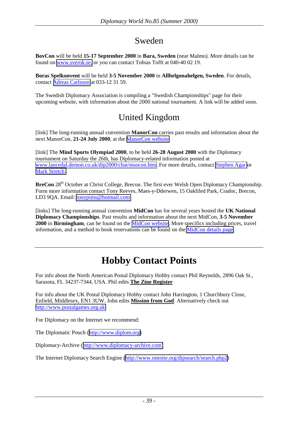### Sweden

**BovCon** will be held **15-17 September 2000** in **Bara, Sweden** (near Malmo). More details can be found on [www.sverok.se,](http://www.sverok.se/) or you can contact Tobias Tofft at 040-40 02 19.

**Boras Spelkonvent** will be held **3-5 November 2000** in **Allhelgonahelgen, Sweden**. For details, contact [Adreas Carlsson](mailto:bak@sveroke.se) at 033-12 31 59.

The Swedish Diplomacy Association is compiling a "Swedish Championships" page for their upcoming website, with information about the 2000 national tournament. A link will be added soon.

### United Kingdom

[link] The long-running annual convention **ManorCon** carries past results and information about the next ManorCon, **21-24 July 2000**, at the [ManorCon website.](http://devel.diplom.org/manorcon)

[link] The **Mind Sports Olympiad 2000**, to be held **26-28 August 2000** with the Diplomacy tournament on Saturday the 26th, has Diplomacy-related information posted at [www.lancedal.demon.co.uk/dip2000/chat/msocon.htm.](http://www.lancedal.demon.co.uk/dip2000/chat/msocon.htm) For more details, contact [Stephen Agar](mailto:stephen@spoff.demon.co.uk) or [Mark Stretch.](mailto:mark@34dartdrive.freeserve.co.uk) 

**BreCon** 28<sup>th</sup> October at Christ College, Brecon. The first ever Welsh Open Diplomacy Championship. Form more information contact Tony Reeves, Maes-y-Dderwen, 15 Oakfiled Park, Cradoc, Brecon, LD3 9QA. Email: [tonypims@hotmail.com](mailto:tonypims@hotmail.com)

[links] The long-running annual convention **MidCon** has for several years hosted the **UK National Diplomacy Championships**. Past results and information about the next MidCon, **3-5 November 2000** in **Birmingham**, can be found on the [MidCon website.](http://ourworld.compuserve.com/homepages/jdodds/midcon.htm) More specifics including prices, travel information, and a method to book reservations can be found on the [MidCon details page.](http://www.sfcp.co.uk/midcon.htm)

# **Hobby Contact Points**

For info about the North American Postal Diplomacy Hobby contact Phil Reynolds, 2896 Oak St., Sarasota, FL 34237-7344, USA. Phil edits **The Zine Register**

For info about the UK Postal Diplomacy Hobby contact John Harrington, 1 Churchbury Close, Enfield, Middlesex, EN1 3UW. John edits **Mission from God**. Alternatively check out [http://www.postalgames.org.uk](http://www.postalgames.org.uk/)

For Diplomacy on the Internet we recommend:

The Diplomatic Pouch ([http://www.diplom.org\)](http://www.diplom.org/)

Diplomacy-Archive ([http://www.diplomacy-archive.com\)](http://www.diplomacy-archive.com/)

The Internet Diplomacy Search Engine [\(http://www.onesite.org/dipsearch/search.php2](http://www.onesite.org/dipsearch/search.php2))